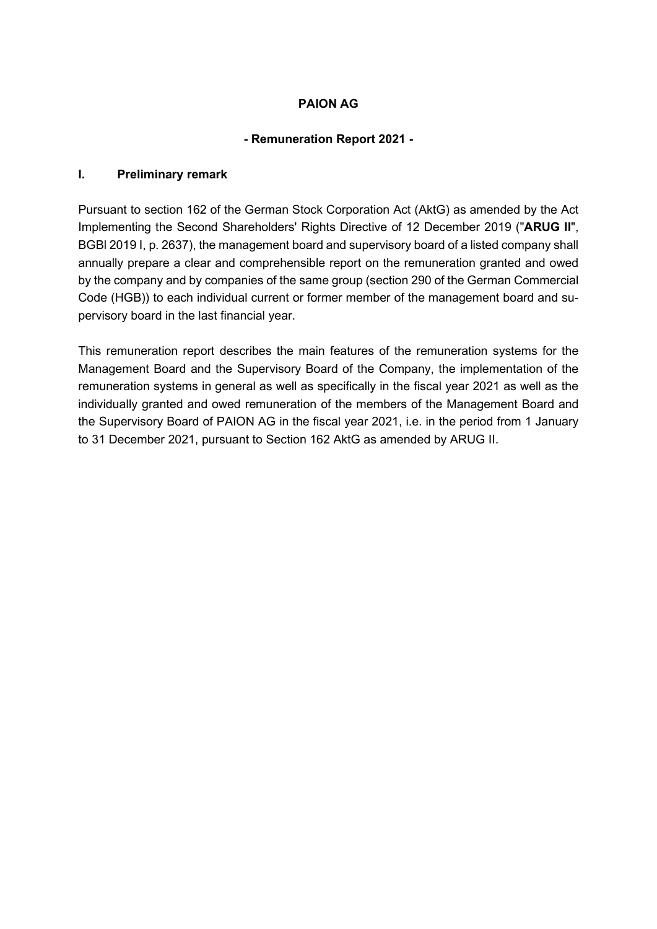# **PAION AG**

# **- Remuneration Report 2021 -**

### **I. Preliminary remark**

Pursuant to section 162 of the German Stock Corporation Act (AktG) as amended by the Act Implementing the Second Shareholders' Rights Directive of 12 December 2019 ("**ARUG II**", BGBl 2019 I, p. 2637), the management board and supervisory board of a listed company shall annually prepare a clear and comprehensible report on the remuneration granted and owed by the company and by companies of the same group (section 290 of the German Commercial Code (HGB)) to each individual current or former member of the management board and supervisory board in the last financial year.

This remuneration report describes the main features of the remuneration systems for the Management Board and the Supervisory Board of the Company, the implementation of the remuneration systems in general as well as specifically in the fiscal year 2021 as well as the individually granted and owed remuneration of the members of the Management Board and the Supervisory Board of PAION AG in the fiscal year 2021, i.e. in the period from 1 January to 31 December 2021, pursuant to Section 162 AktG as amended by ARUG II.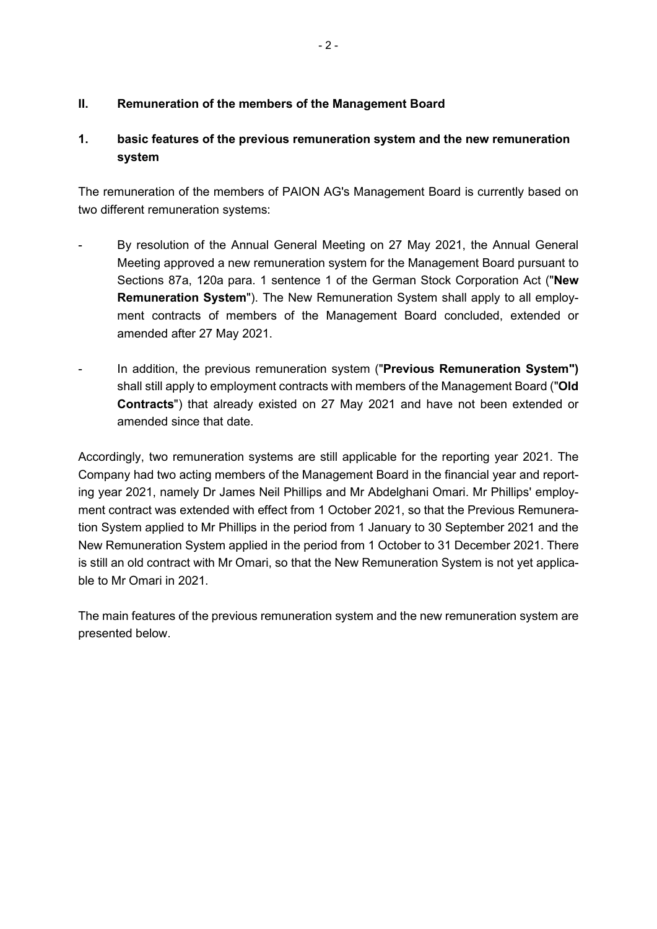# **II. Remuneration of the members of the Management Board**

# **1. basic features of the previous remuneration system and the new remuneration system**

The remuneration of the members of PAION AG's Management Board is currently based on two different remuneration systems:

- By resolution of the Annual General Meeting on 27 May 2021, the Annual General Meeting approved a new remuneration system for the Management Board pursuant to Sections 87a, 120a para. 1 sentence 1 of the German Stock Corporation Act ("**New Remuneration System**"). The New Remuneration System shall apply to all employment contracts of members of the Management Board concluded, extended or amended after 27 May 2021.
- In addition, the previous remuneration system ("**Previous Remuneration System")**  shall still apply to employment contracts with members of the Management Board ("**Old Contracts**") that already existed on 27 May 2021 and have not been extended or amended since that date.

Accordingly, two remuneration systems are still applicable for the reporting year 2021. The Company had two acting members of the Management Board in the financial year and reporting year 2021, namely Dr James Neil Phillips and Mr Abdelghani Omari. Mr Phillips' employment contract was extended with effect from 1 October 2021, so that the Previous Remuneration System applied to Mr Phillips in the period from 1 January to 30 September 2021 and the New Remuneration System applied in the period from 1 October to 31 December 2021. There is still an old contract with Mr Omari, so that the New Remuneration System is not yet applicable to Mr Omari in 2021.

The main features of the previous remuneration system and the new remuneration system are presented below.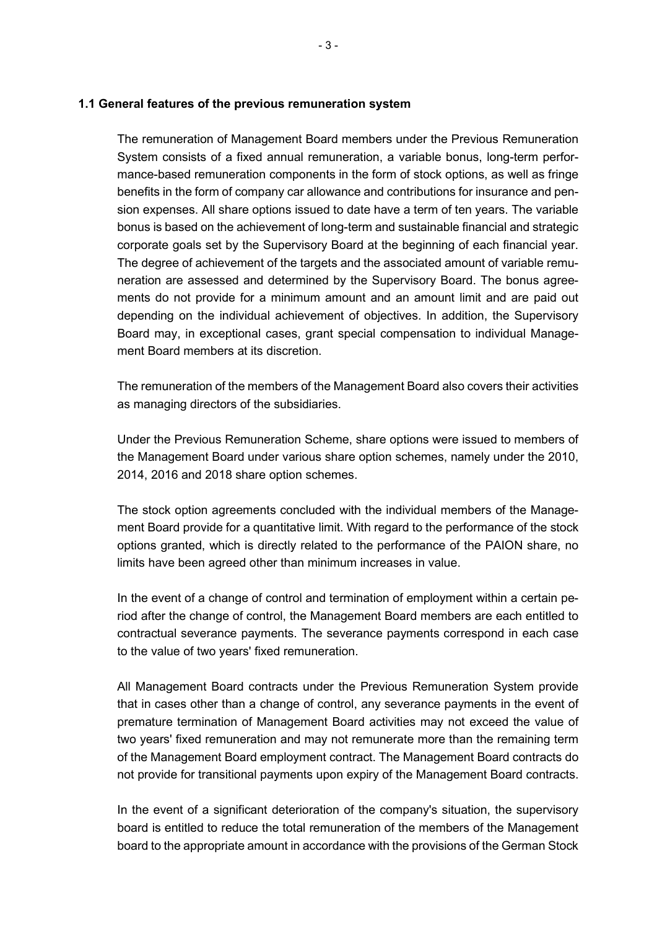#### **1.1 General features of the previous remuneration system**

The remuneration of Management Board members under the Previous Remuneration System consists of a fixed annual remuneration, a variable bonus, long-term performance-based remuneration components in the form of stock options, as well as fringe benefits in the form of company car allowance and contributions for insurance and pension expenses. All share options issued to date have a term of ten years. The variable bonus is based on the achievement of long-term and sustainable financial and strategic corporate goals set by the Supervisory Board at the beginning of each financial year. The degree of achievement of the targets and the associated amount of variable remuneration are assessed and determined by the Supervisory Board. The bonus agreements do not provide for a minimum amount and an amount limit and are paid out depending on the individual achievement of objectives. In addition, the Supervisory Board may, in exceptional cases, grant special compensation to individual Management Board members at its discretion.

The remuneration of the members of the Management Board also covers their activities as managing directors of the subsidiaries.

Under the Previous Remuneration Scheme, share options were issued to members of the Management Board under various share option schemes, namely under the 2010, 2014, 2016 and 2018 share option schemes.

The stock option agreements concluded with the individual members of the Management Board provide for a quantitative limit. With regard to the performance of the stock options granted, which is directly related to the performance of the PAION share, no limits have been agreed other than minimum increases in value.

In the event of a change of control and termination of employment within a certain period after the change of control, the Management Board members are each entitled to contractual severance payments. The severance payments correspond in each case to the value of two years' fixed remuneration.

All Management Board contracts under the Previous Remuneration System provide that in cases other than a change of control, any severance payments in the event of premature termination of Management Board activities may not exceed the value of two years' fixed remuneration and may not remunerate more than the remaining term of the Management Board employment contract. The Management Board contracts do not provide for transitional payments upon expiry of the Management Board contracts.

In the event of a significant deterioration of the company's situation, the supervisory board is entitled to reduce the total remuneration of the members of the Management board to the appropriate amount in accordance with the provisions of the German Stock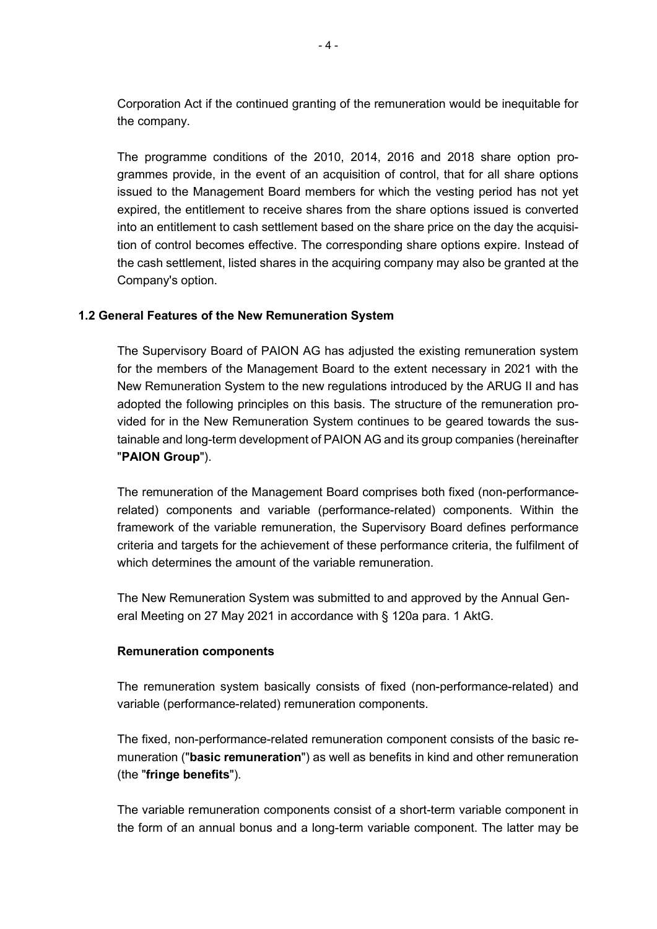Corporation Act if the continued granting of the remuneration would be inequitable for the company.

The programme conditions of the 2010, 2014, 2016 and 2018 share option programmes provide, in the event of an acquisition of control, that for all share options issued to the Management Board members for which the vesting period has not yet expired, the entitlement to receive shares from the share options issued is converted into an entitlement to cash settlement based on the share price on the day the acquisition of control becomes effective. The corresponding share options expire. Instead of the cash settlement, listed shares in the acquiring company may also be granted at the Company's option.

### **1.2 General Features of the New Remuneration System**

The Supervisory Board of PAION AG has adjusted the existing remuneration system for the members of the Management Board to the extent necessary in 2021 with the New Remuneration System to the new regulations introduced by the ARUG II and has adopted the following principles on this basis. The structure of the remuneration provided for in the New Remuneration System continues to be geared towards the sustainable and long-term development of PAION AG and its group companies (hereinafter "**PAION Group**").

The remuneration of the Management Board comprises both fixed (non-performancerelated) components and variable (performance-related) components. Within the framework of the variable remuneration, the Supervisory Board defines performance criteria and targets for the achievement of these performance criteria, the fulfilment of which determines the amount of the variable remuneration.

The New Remuneration System was submitted to and approved by the Annual General Meeting on 27 May 2021 in accordance with § 120a para. 1 AktG.

### **Remuneration components**

The remuneration system basically consists of fixed (non-performance-related) and variable (performance-related) remuneration components.

The fixed, non-performance-related remuneration component consists of the basic remuneration ("**basic remuneration**") as well as benefits in kind and other remuneration (the "**fringe benefits**").

The variable remuneration components consist of a short-term variable component in the form of an annual bonus and a long-term variable component. The latter may be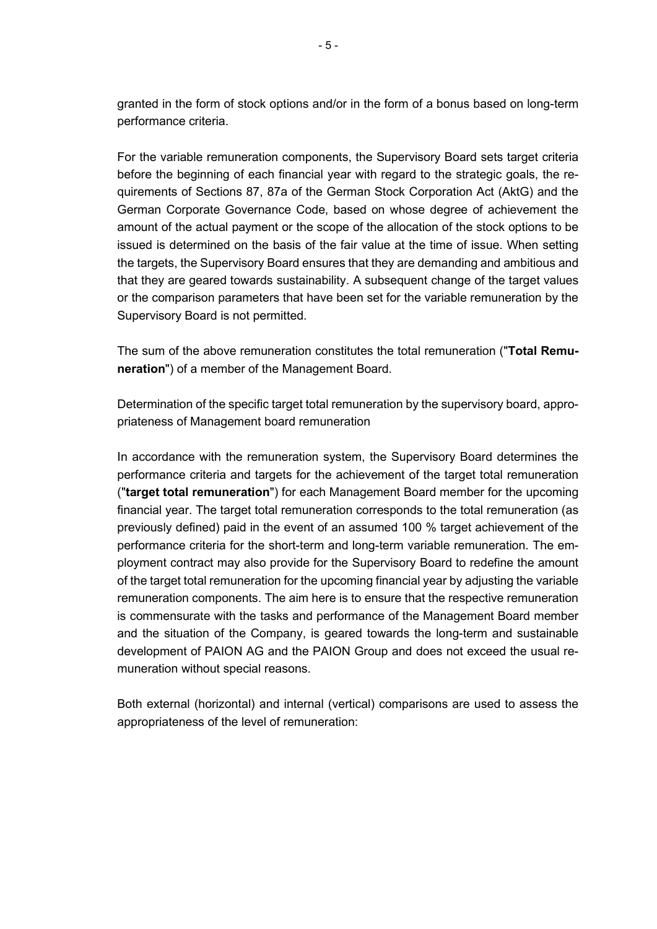granted in the form of stock options and/or in the form of a bonus based on long-term performance criteria.

For the variable remuneration components, the Supervisory Board sets target criteria before the beginning of each financial year with regard to the strategic goals, the requirements of Sections 87, 87a of the German Stock Corporation Act (AktG) and the German Corporate Governance Code, based on whose degree of achievement the amount of the actual payment or the scope of the allocation of the stock options to be issued is determined on the basis of the fair value at the time of issue. When setting the targets, the Supervisory Board ensures that they are demanding and ambitious and that they are geared towards sustainability. A subsequent change of the target values or the comparison parameters that have been set for the variable remuneration by the Supervisory Board is not permitted.

The sum of the above remuneration constitutes the total remuneration ("**Total Remuneration**") of a member of the Management Board.

Determination of the specific target total remuneration by the supervisory board, appropriateness of Management board remuneration

In accordance with the remuneration system, the Supervisory Board determines the performance criteria and targets for the achievement of the target total remuneration ("**target total remuneration**") for each Management Board member for the upcoming financial year. The target total remuneration corresponds to the total remuneration (as previously defined) paid in the event of an assumed 100 % target achievement of the performance criteria for the short-term and long-term variable remuneration. The employment contract may also provide for the Supervisory Board to redefine the amount of the target total remuneration for the upcoming financial year by adjusting the variable remuneration components. The aim here is to ensure that the respective remuneration is commensurate with the tasks and performance of the Management Board member and the situation of the Company, is geared towards the long-term and sustainable development of PAION AG and the PAION Group and does not exceed the usual remuneration without special reasons.

Both external (horizontal) and internal (vertical) comparisons are used to assess the appropriateness of the level of remuneration: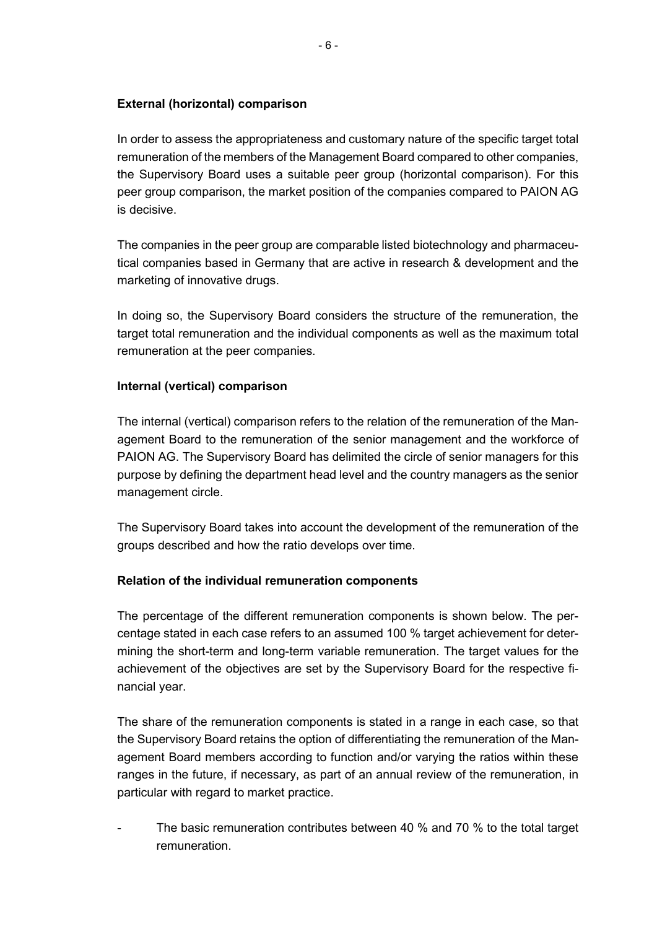### **External (horizontal) comparison**

In order to assess the appropriateness and customary nature of the specific target total remuneration of the members of the Management Board compared to other companies, the Supervisory Board uses a suitable peer group (horizontal comparison). For this peer group comparison, the market position of the companies compared to PAION AG is decisive.

The companies in the peer group are comparable listed biotechnology and pharmaceutical companies based in Germany that are active in research & development and the marketing of innovative drugs.

In doing so, the Supervisory Board considers the structure of the remuneration, the target total remuneration and the individual components as well as the maximum total remuneration at the peer companies.

### **Internal (vertical) comparison**

The internal (vertical) comparison refers to the relation of the remuneration of the Management Board to the remuneration of the senior management and the workforce of PAION AG. The Supervisory Board has delimited the circle of senior managers for this purpose by defining the department head level and the country managers as the senior management circle.

The Supervisory Board takes into account the development of the remuneration of the groups described and how the ratio develops over time.

### **Relation of the individual remuneration components**

The percentage of the different remuneration components is shown below. The percentage stated in each case refers to an assumed 100 % target achievement for determining the short-term and long-term variable remuneration. The target values for the achievement of the objectives are set by the Supervisory Board for the respective financial year.

The share of the remuneration components is stated in a range in each case, so that the Supervisory Board retains the option of differentiating the remuneration of the Management Board members according to function and/or varying the ratios within these ranges in the future, if necessary, as part of an annual review of the remuneration, in particular with regard to market practice.

The basic remuneration contributes between 40 % and 70 % to the total target remuneration.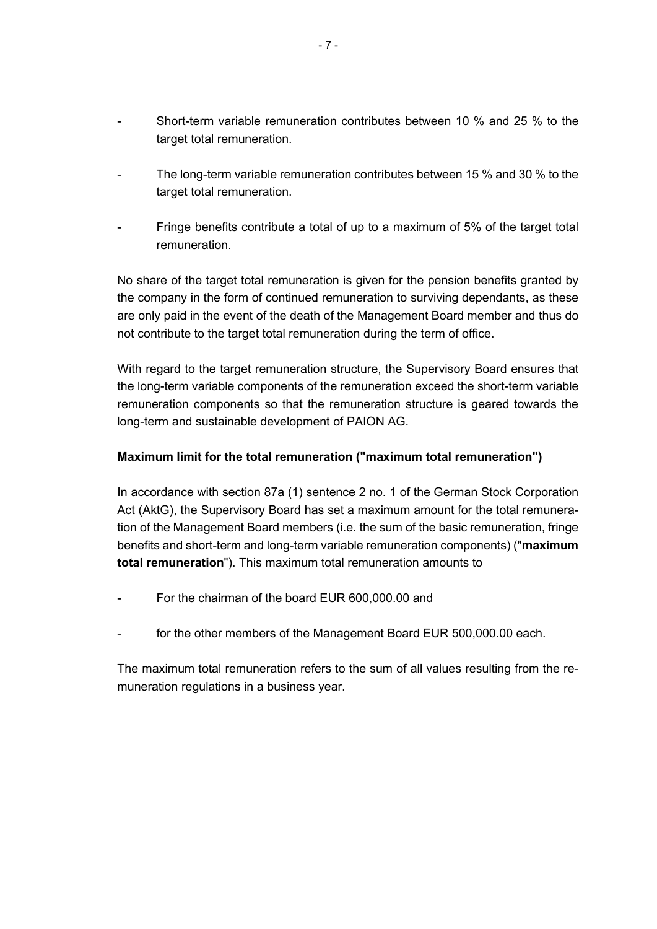- Short-term variable remuneration contributes between 10 % and 25 % to the target total remuneration.
- The long-term variable remuneration contributes between 15 % and 30 % to the target total remuneration.
- Fringe benefits contribute a total of up to a maximum of 5% of the target total remuneration.

No share of the target total remuneration is given for the pension benefits granted by the company in the form of continued remuneration to surviving dependants, as these are only paid in the event of the death of the Management Board member and thus do not contribute to the target total remuneration during the term of office.

With regard to the target remuneration structure, the Supervisory Board ensures that the long-term variable components of the remuneration exceed the short-term variable remuneration components so that the remuneration structure is geared towards the long-term and sustainable development of PAION AG.

### **Maximum limit for the total remuneration ("maximum total remuneration")**

In accordance with section 87a (1) sentence 2 no. 1 of the German Stock Corporation Act (AktG), the Supervisory Board has set a maximum amount for the total remuneration of the Management Board members (i.e. the sum of the basic remuneration, fringe benefits and short-term and long-term variable remuneration components) ("**maximum total remuneration**"). This maximum total remuneration amounts to

- For the chairman of the board EUR 600,000,00 and
- for the other members of the Management Board EUR 500,000.00 each.

The maximum total remuneration refers to the sum of all values resulting from the remuneration regulations in a business year.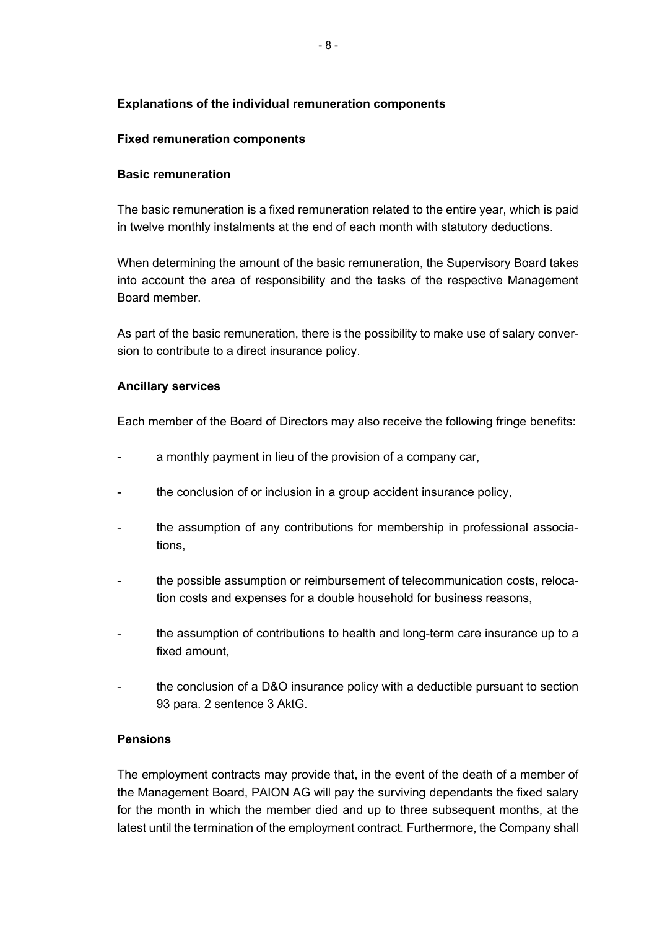# **Explanations of the individual remuneration components**

### **Fixed remuneration components**

### **Basic remuneration**

The basic remuneration is a fixed remuneration related to the entire year, which is paid in twelve monthly instalments at the end of each month with statutory deductions.

When determining the amount of the basic remuneration, the Supervisory Board takes into account the area of responsibility and the tasks of the respective Management Board member.

As part of the basic remuneration, there is the possibility to make use of salary conversion to contribute to a direct insurance policy.

### **Ancillary services**

Each member of the Board of Directors may also receive the following fringe benefits:

- a monthly payment in lieu of the provision of a company car,
- the conclusion of or inclusion in a group accident insurance policy,
- the assumption of any contributions for membership in professional associations,
- the possible assumption or reimbursement of telecommunication costs, relocation costs and expenses for a double household for business reasons,
- the assumption of contributions to health and long-term care insurance up to a fixed amount,
- the conclusion of a D&O insurance policy with a deductible pursuant to section 93 para. 2 sentence 3 AktG.

### **Pensions**

The employment contracts may provide that, in the event of the death of a member of the Management Board, PAION AG will pay the surviving dependants the fixed salary for the month in which the member died and up to three subsequent months, at the latest until the termination of the employment contract. Furthermore, the Company shall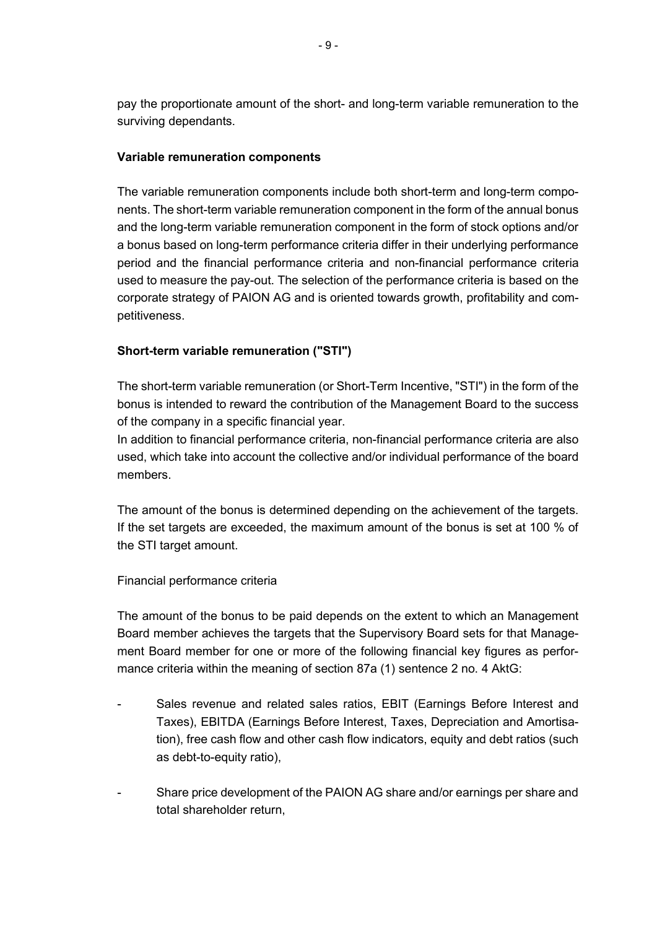pay the proportionate amount of the short- and long-term variable remuneration to the surviving dependants.

### **Variable remuneration components**

The variable remuneration components include both short-term and long-term components. The short-term variable remuneration component in the form of the annual bonus and the long-term variable remuneration component in the form of stock options and/or a bonus based on long-term performance criteria differ in their underlying performance period and the financial performance criteria and non-financial performance criteria used to measure the pay-out. The selection of the performance criteria is based on the corporate strategy of PAION AG and is oriented towards growth, profitability and competitiveness.

# **Short-term variable remuneration ("STI")**

The short-term variable remuneration (or Short-Term Incentive, "STI") in the form of the bonus is intended to reward the contribution of the Management Board to the success of the company in a specific financial year.

In addition to financial performance criteria, non-financial performance criteria are also used, which take into account the collective and/or individual performance of the board members.

The amount of the bonus is determined depending on the achievement of the targets. If the set targets are exceeded, the maximum amount of the bonus is set at 100 % of the STI target amount.

Financial performance criteria

The amount of the bonus to be paid depends on the extent to which an Management Board member achieves the targets that the Supervisory Board sets for that Management Board member for one or more of the following financial key figures as performance criteria within the meaning of section 87a (1) sentence 2 no. 4 AktG:

- Sales revenue and related sales ratios, EBIT (Earnings Before Interest and Taxes), EBITDA (Earnings Before Interest, Taxes, Depreciation and Amortisation), free cash flow and other cash flow indicators, equity and debt ratios (such as debt-to-equity ratio),
- Share price development of the PAION AG share and/or earnings per share and total shareholder return,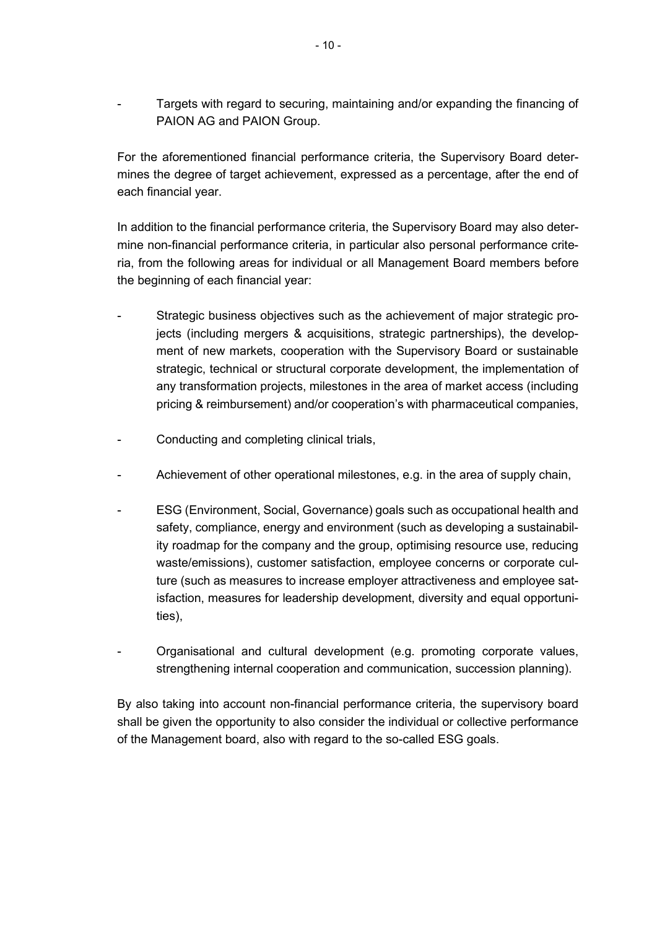Targets with regard to securing, maintaining and/or expanding the financing of PAION AG and PAION Group.

For the aforementioned financial performance criteria, the Supervisory Board determines the degree of target achievement, expressed as a percentage, after the end of each financial year.

In addition to the financial performance criteria, the Supervisory Board may also determine non-financial performance criteria, in particular also personal performance criteria, from the following areas for individual or all Management Board members before the beginning of each financial year:

- Strategic business objectives such as the achievement of major strategic projects (including mergers & acquisitions, strategic partnerships), the development of new markets, cooperation with the Supervisory Board or sustainable strategic, technical or structural corporate development, the implementation of any transformation projects, milestones in the area of market access (including pricing & reimbursement) and/or cooperation's with pharmaceutical companies,
- Conducting and completing clinical trials,
- Achievement of other operational milestones, e.g. in the area of supply chain,
- ESG (Environment, Social, Governance) goals such as occupational health and safety, compliance, energy and environment (such as developing a sustainability roadmap for the company and the group, optimising resource use, reducing waste/emissions), customer satisfaction, employee concerns or corporate culture (such as measures to increase employer attractiveness and employee satisfaction, measures for leadership development, diversity and equal opportunities),
- Organisational and cultural development (e.g. promoting corporate values, strengthening internal cooperation and communication, succession planning).

By also taking into account non-financial performance criteria, the supervisory board shall be given the opportunity to also consider the individual or collective performance of the Management board, also with regard to the so-called ESG goals.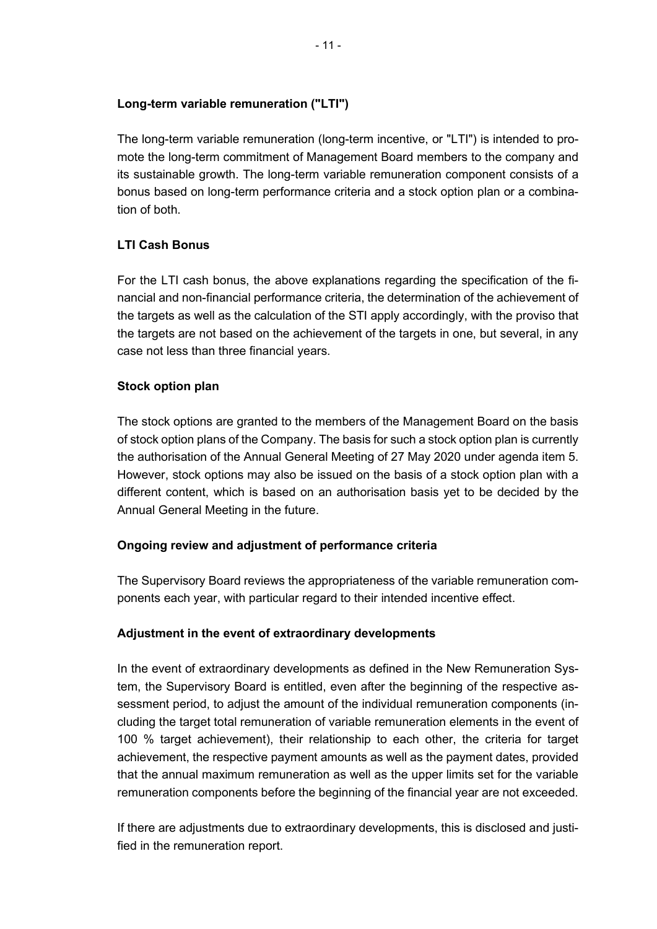# **Long-term variable remuneration ("LTI")**

The long-term variable remuneration (long-term incentive, or "LTI") is intended to promote the long-term commitment of Management Board members to the company and its sustainable growth. The long-term variable remuneration component consists of a bonus based on long-term performance criteria and a stock option plan or a combination of both.

# **LTI Cash Bonus**

For the LTI cash bonus, the above explanations regarding the specification of the financial and non-financial performance criteria, the determination of the achievement of the targets as well as the calculation of the STI apply accordingly, with the proviso that the targets are not based on the achievement of the targets in one, but several, in any case not less than three financial years.

# **Stock option plan**

The stock options are granted to the members of the Management Board on the basis of stock option plans of the Company. The basis for such a stock option plan is currently the authorisation of the Annual General Meeting of 27 May 2020 under agenda item 5. However, stock options may also be issued on the basis of a stock option plan with a different content, which is based on an authorisation basis yet to be decided by the Annual General Meeting in the future.

### **Ongoing review and adjustment of performance criteria**

The Supervisory Board reviews the appropriateness of the variable remuneration components each year, with particular regard to their intended incentive effect.

# **Adjustment in the event of extraordinary developments**

In the event of extraordinary developments as defined in the New Remuneration System, the Supervisory Board is entitled, even after the beginning of the respective assessment period, to adjust the amount of the individual remuneration components (including the target total remuneration of variable remuneration elements in the event of 100 % target achievement), their relationship to each other, the criteria for target achievement, the respective payment amounts as well as the payment dates, provided that the annual maximum remuneration as well as the upper limits set for the variable remuneration components before the beginning of the financial year are not exceeded.

If there are adjustments due to extraordinary developments, this is disclosed and justified in the remuneration report.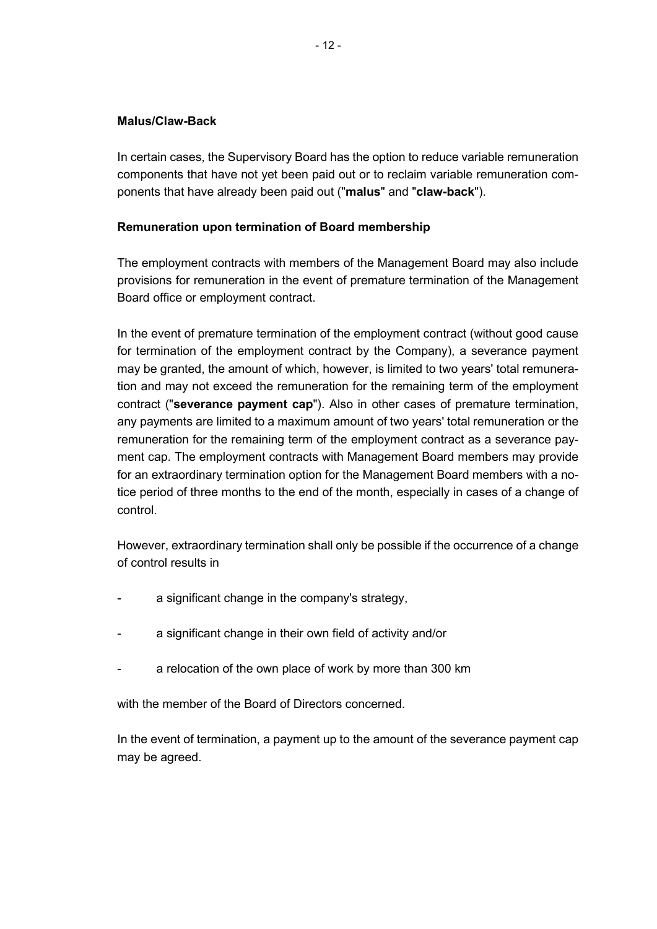### **Malus/Claw-Back**

In certain cases, the Supervisory Board has the option to reduce variable remuneration components that have not yet been paid out or to reclaim variable remuneration components that have already been paid out ("**malus**" and "**claw-back**").

#### **Remuneration upon termination of Board membership**

The employment contracts with members of the Management Board may also include provisions for remuneration in the event of premature termination of the Management Board office or employment contract.

In the event of premature termination of the employment contract (without good cause for termination of the employment contract by the Company), a severance payment may be granted, the amount of which, however, is limited to two years' total remuneration and may not exceed the remuneration for the remaining term of the employment contract ("**severance payment cap**"). Also in other cases of premature termination, any payments are limited to a maximum amount of two years' total remuneration or the remuneration for the remaining term of the employment contract as a severance payment cap. The employment contracts with Management Board members may provide for an extraordinary termination option for the Management Board members with a notice period of three months to the end of the month, especially in cases of a change of control.

However, extraordinary termination shall only be possible if the occurrence of a change of control results in

- a significant change in the company's strategy,
- a significant change in their own field of activity and/or
- a relocation of the own place of work by more than 300 km

with the member of the Board of Directors concerned.

In the event of termination, a payment up to the amount of the severance payment cap may be agreed.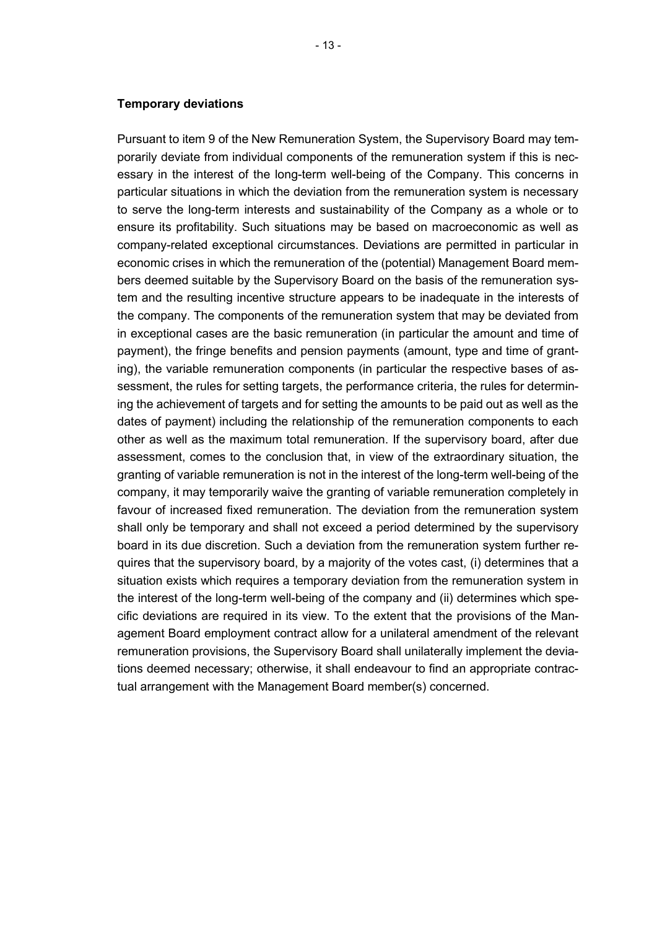Pursuant to item 9 of the New Remuneration System, the Supervisory Board may temporarily deviate from individual components of the remuneration system if this is necessary in the interest of the long-term well-being of the Company. This concerns in particular situations in which the deviation from the remuneration system is necessary to serve the long-term interests and sustainability of the Company as a whole or to ensure its profitability. Such situations may be based on macroeconomic as well as company-related exceptional circumstances. Deviations are permitted in particular in economic crises in which the remuneration of the (potential) Management Board members deemed suitable by the Supervisory Board on the basis of the remuneration system and the resulting incentive structure appears to be inadequate in the interests of the company. The components of the remuneration system that may be deviated from in exceptional cases are the basic remuneration (in particular the amount and time of payment), the fringe benefits and pension payments (amount, type and time of granting), the variable remuneration components (in particular the respective bases of assessment, the rules for setting targets, the performance criteria, the rules for determining the achievement of targets and for setting the amounts to be paid out as well as the dates of payment) including the relationship of the remuneration components to each other as well as the maximum total remuneration. If the supervisory board, after due assessment, comes to the conclusion that, in view of the extraordinary situation, the granting of variable remuneration is not in the interest of the long-term well-being of the company, it may temporarily waive the granting of variable remuneration completely in favour of increased fixed remuneration. The deviation from the remuneration system shall only be temporary and shall not exceed a period determined by the supervisory board in its due discretion. Such a deviation from the remuneration system further requires that the supervisory board, by a majority of the votes cast, (i) determines that a situation exists which requires a temporary deviation from the remuneration system in the interest of the long-term well-being of the company and (ii) determines which specific deviations are required in its view. To the extent that the provisions of the Management Board employment contract allow for a unilateral amendment of the relevant remuneration provisions, the Supervisory Board shall unilaterally implement the deviations deemed necessary; otherwise, it shall endeavour to find an appropriate contractual arrangement with the Management Board member(s) concerned.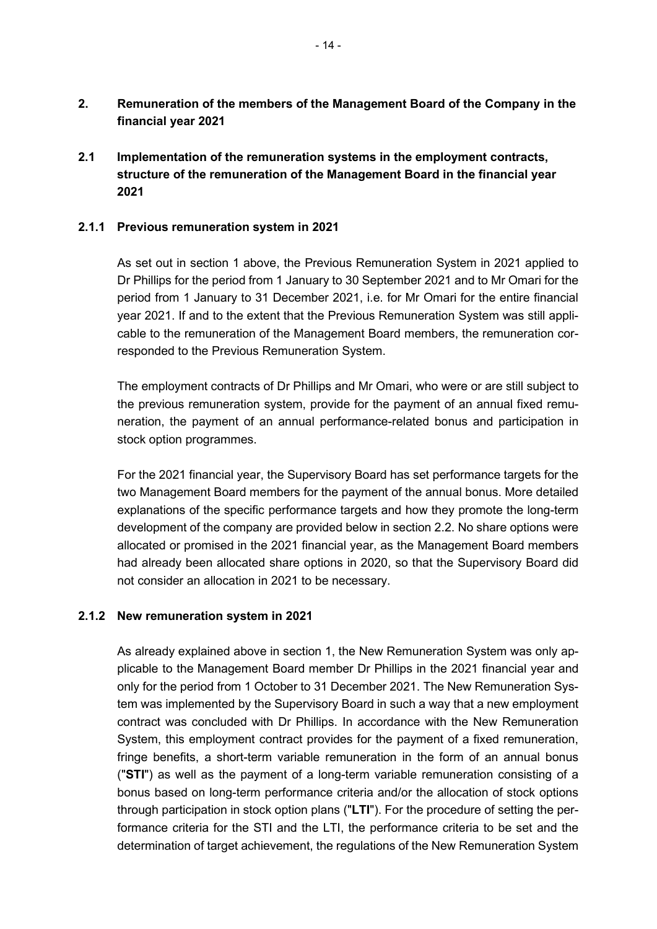- **2. Remuneration of the members of the Management Board of the Company in the financial year 2021**
- **2.1 Implementation of the remuneration systems in the employment contracts, structure of the remuneration of the Management Board in the financial year 2021**

#### **2.1.1 Previous remuneration system in 2021**

As set out in section 1 above, the Previous Remuneration System in 2021 applied to Dr Phillips for the period from 1 January to 30 September 2021 and to Mr Omari for the period from 1 January to 31 December 2021, i.e. for Mr Omari for the entire financial year 2021. If and to the extent that the Previous Remuneration System was still applicable to the remuneration of the Management Board members, the remuneration corresponded to the Previous Remuneration System.

The employment contracts of Dr Phillips and Mr Omari, who were or are still subject to the previous remuneration system, provide for the payment of an annual fixed remuneration, the payment of an annual performance-related bonus and participation in stock option programmes.

For the 2021 financial year, the Supervisory Board has set performance targets for the two Management Board members for the payment of the annual bonus. More detailed explanations of the specific performance targets and how they promote the long-term development of the company are provided below in section 2.2. No share options were allocated or promised in the 2021 financial year, as the Management Board members had already been allocated share options in 2020, so that the Supervisory Board did not consider an allocation in 2021 to be necessary.

#### **2.1.2 New remuneration system in 2021**

As already explained above in section 1, the New Remuneration System was only applicable to the Management Board member Dr Phillips in the 2021 financial year and only for the period from 1 October to 31 December 2021. The New Remuneration System was implemented by the Supervisory Board in such a way that a new employment contract was concluded with Dr Phillips. In accordance with the New Remuneration System, this employment contract provides for the payment of a fixed remuneration, fringe benefits, a short-term variable remuneration in the form of an annual bonus ("**STI**") as well as the payment of a long-term variable remuneration consisting of a bonus based on long-term performance criteria and/or the allocation of stock options through participation in stock option plans ("**LTI**"). For the procedure of setting the performance criteria for the STI and the LTI, the performance criteria to be set and the determination of target achievement, the regulations of the New Remuneration System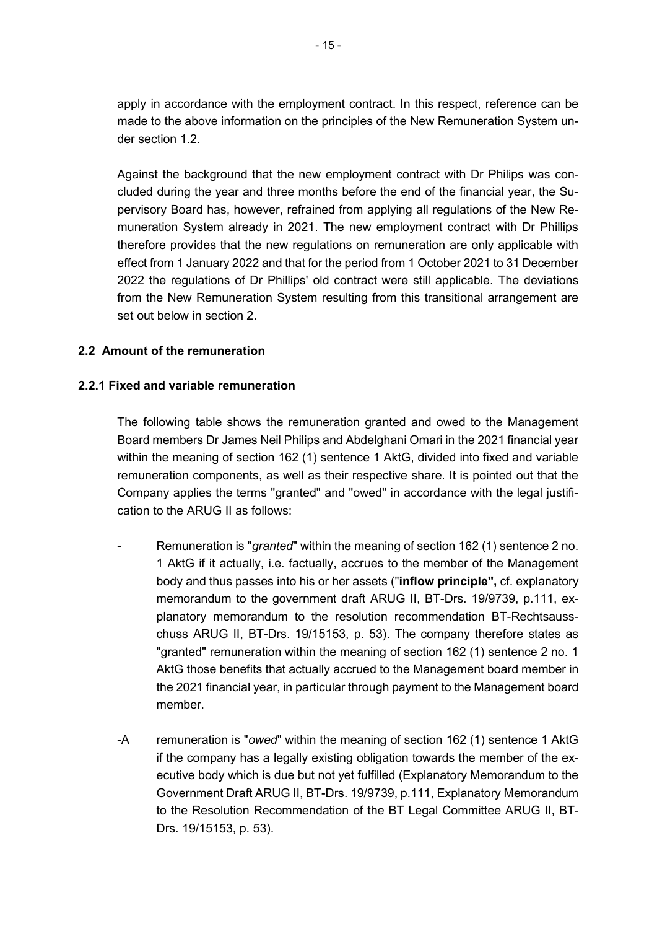apply in accordance with the employment contract. In this respect, reference can be made to the above information on the principles of the New Remuneration System under section 1.2.

Against the background that the new employment contract with Dr Philips was concluded during the year and three months before the end of the financial year, the Supervisory Board has, however, refrained from applying all regulations of the New Remuneration System already in 2021. The new employment contract with Dr Phillips therefore provides that the new regulations on remuneration are only applicable with effect from 1 January 2022 and that for the period from 1 October 2021 to 31 December 2022 the regulations of Dr Phillips' old contract were still applicable. The deviations from the New Remuneration System resulting from this transitional arrangement are set out below in section 2.

### **2.2 Amount of the remuneration**

### **2.2.1 Fixed and variable remuneration**

The following table shows the remuneration granted and owed to the Management Board members Dr James Neil Philips and Abdelghani Omari in the 2021 financial year within the meaning of section 162 (1) sentence 1 AktG, divided into fixed and variable remuneration components, as well as their respective share. It is pointed out that the Company applies the terms "granted" and "owed" in accordance with the legal justification to the ARUG II as follows:

- Remuneration is "*granted*" within the meaning of section 162 (1) sentence 2 no. 1 AktG if it actually, i.e. factually, accrues to the member of the Management body and thus passes into his or her assets ("**inflow principle",** cf. explanatory memorandum to the government draft ARUG II, BT-Drs. 19/9739, p.111, explanatory memorandum to the resolution recommendation BT-Rechtsausschuss ARUG II, BT-Drs. 19/15153, p. 53). The company therefore states as "granted" remuneration within the meaning of section 162 (1) sentence 2 no. 1 AktG those benefits that actually accrued to the Management board member in the 2021 financial year, in particular through payment to the Management board member.
- -A remuneration is "*owed*" within the meaning of section 162 (1) sentence 1 AktG if the company has a legally existing obligation towards the member of the executive body which is due but not yet fulfilled (Explanatory Memorandum to the Government Draft ARUG II, BT-Drs. 19/9739, p.111, Explanatory Memorandum to the Resolution Recommendation of the BT Legal Committee ARUG II, BT-Drs. 19/15153, p. 53).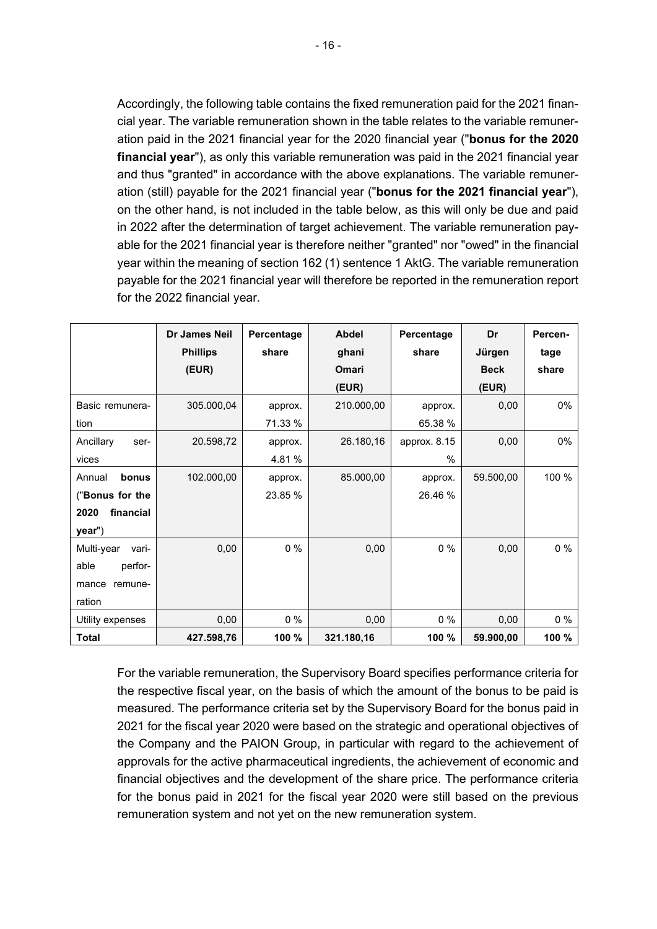Accordingly, the following table contains the fixed remuneration paid for the 2021 financial year. The variable remuneration shown in the table relates to the variable remuneration paid in the 2021 financial year for the 2020 financial year ("**bonus for the 2020 financial year**"), as only this variable remuneration was paid in the 2021 financial year and thus "granted" in accordance with the above explanations. The variable remuneration (still) payable for the 2021 financial year ("**bonus for the 2021 financial year**"), on the other hand, is not included in the table below, as this will only be due and paid in 2022 after the determination of target achievement. The variable remuneration payable for the 2021 financial year is therefore neither "granted" nor "owed" in the financial year within the meaning of section 162 (1) sentence 1 AktG. The variable remuneration payable for the 2021 financial year will therefore be reported in the remuneration report for the 2022 financial year.

|                     | <b>Dr James Neil</b> | Percentage | <b>Abdel</b> | Percentage   | Dr          | Percen- |
|---------------------|----------------------|------------|--------------|--------------|-------------|---------|
|                     | <b>Phillips</b>      | share      | ghani        | share        | Jürgen      | tage    |
|                     | (EUR)                |            | Omari        |              | <b>Beck</b> | share   |
|                     |                      |            | (EUR)        |              | (EUR)       |         |
| Basic remunera-     | 305.000,04           | approx.    | 210.000,00   | approx.      | 0,00        | 0%      |
| tion                |                      | 71.33 %    |              | 65.38 %      |             |         |
| Ancillary<br>ser-   | 20.598,72            | approx.    | 26.180,16    | approx. 8.15 | 0,00        | 0%      |
| vices               |                      | 4.81%      |              | %            |             |         |
| bonus<br>Annual     | 102.000,00           | approx.    | 85.000,00    | approx.      | 59.500,00   | 100 %   |
| ("Bonus for the     |                      | 23.85 %    |              | 26.46 %      |             |         |
| 2020<br>financial   |                      |            |              |              |             |         |
| year")              |                      |            |              |              |             |         |
| Multi-year<br>vari- | 0,00                 | $0\%$      | 0,00         | $0\%$        | 0,00        | $0\%$   |
| able<br>perfor-     |                      |            |              |              |             |         |
| mance<br>remune-    |                      |            |              |              |             |         |
| ration              |                      |            |              |              |             |         |
| Utility expenses    | 0,00                 | $0\%$      | 0,00         | $0\%$        | 0,00        | $0\%$   |
| <b>Total</b>        | 427.598,76           | 100 %      | 321.180,16   | 100 %        | 59.900,00   | 100 %   |

For the variable remuneration, the Supervisory Board specifies performance criteria for the respective fiscal year, on the basis of which the amount of the bonus to be paid is measured. The performance criteria set by the Supervisory Board for the bonus paid in 2021 for the fiscal year 2020 were based on the strategic and operational objectives of the Company and the PAION Group, in particular with regard to the achievement of approvals for the active pharmaceutical ingredients, the achievement of economic and financial objectives and the development of the share price. The performance criteria for the bonus paid in 2021 for the fiscal year 2020 were still based on the previous remuneration system and not yet on the new remuneration system.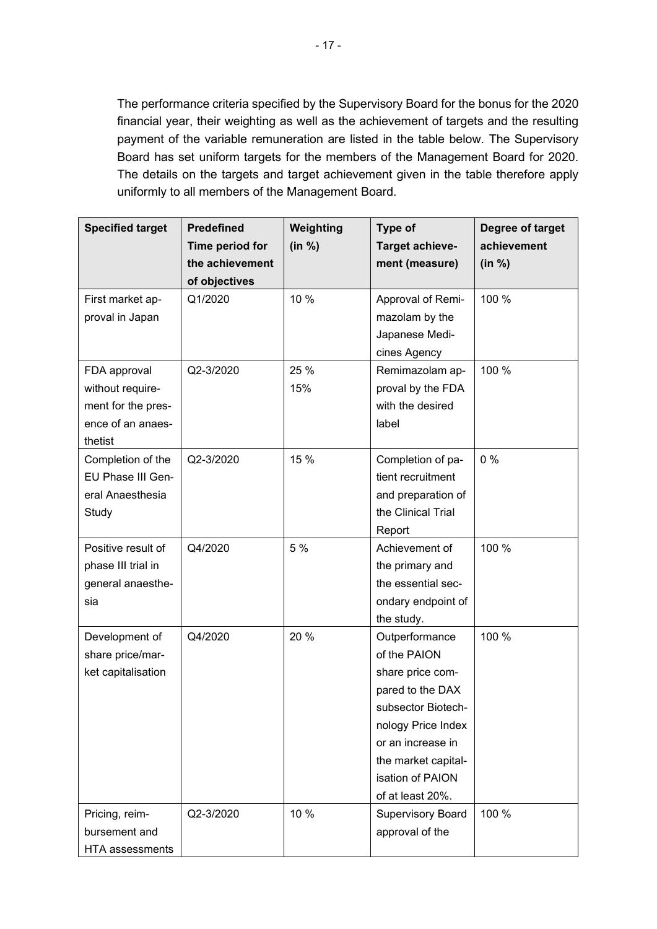The performance criteria specified by the Supervisory Board for the bonus for the 2020 financial year, their weighting as well as the achievement of targets and the resulting payment of the variable remuneration are listed in the table below. The Supervisory Board has set uniform targets for the members of the Management Board for 2020. The details on the targets and target achievement given in the table therefore apply uniformly to all members of the Management Board.

| <b>Specified target</b> | <b>Predefined</b> | Weighting | Type of                  | Degree of target |
|-------------------------|-------------------|-----------|--------------------------|------------------|
|                         | Time period for   | (in %)    | Target achieve-          | achievement      |
|                         | the achievement   |           | ment (measure)           | (in %)           |
|                         | of objectives     |           |                          |                  |
| First market ap-        | Q1/2020           | 10 %      | Approval of Remi-        | 100 %            |
| proval in Japan         |                   |           | mazolam by the           |                  |
|                         |                   |           | Japanese Medi-           |                  |
|                         |                   |           | cines Agency             |                  |
| FDA approval            | Q2-3/2020         | 25 %      | Remimazolam ap-          | 100 %            |
| without require-        |                   | 15%       | proval by the FDA        |                  |
| ment for the pres-      |                   |           | with the desired         |                  |
| ence of an anaes-       |                   |           | label                    |                  |
| thetist                 |                   |           |                          |                  |
| Completion of the       | Q2-3/2020         | 15 %      | Completion of pa-        | 0%               |
| EU Phase III Gen-       |                   |           | tient recruitment        |                  |
| eral Anaesthesia        |                   |           | and preparation of       |                  |
| Study                   |                   |           | the Clinical Trial       |                  |
|                         |                   |           | Report                   |                  |
| Positive result of      | Q4/2020           | 5 %       | Achievement of           | 100 %            |
| phase III trial in      |                   |           | the primary and          |                  |
| general anaesthe-       |                   |           | the essential sec-       |                  |
| sia                     |                   |           | ondary endpoint of       |                  |
|                         |                   |           | the study.               |                  |
| Development of          | Q4/2020           | 20 %      | Outperformance           | 100 %            |
| share price/mar-        |                   |           | of the PAION             |                  |
| ket capitalisation      |                   |           | share price com-         |                  |
|                         |                   |           | pared to the DAX         |                  |
|                         |                   |           | subsector Biotech-       |                  |
|                         |                   |           | nology Price Index       |                  |
|                         |                   |           | or an increase in        |                  |
|                         |                   |           | the market capital-      |                  |
|                         |                   |           | isation of PAION         |                  |
|                         |                   |           | of at least 20%.         |                  |
| Pricing, reim-          | Q2-3/2020         | 10 %      | <b>Supervisory Board</b> | 100 %            |
| bursement and           |                   |           | approval of the          |                  |
| <b>HTA</b> assessments  |                   |           |                          |                  |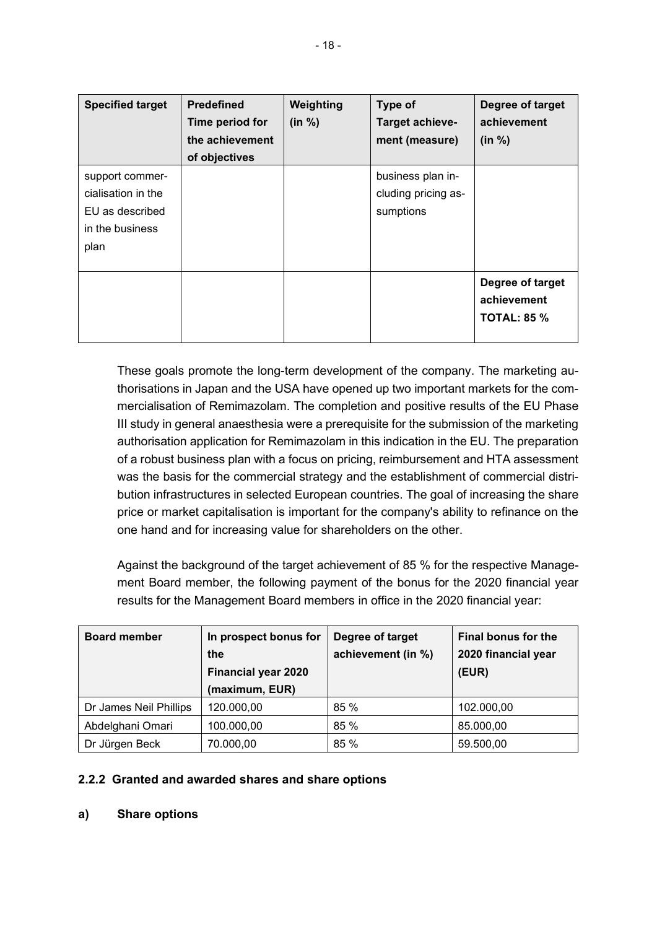| <b>Specified target</b> | <b>Predefined</b><br>Time period for<br>the achievement<br>of objectives | Weighting<br>(in %) | Type of<br>Target achieve-<br>ment (measure) | Degree of target<br>achievement<br>(in %) |
|-------------------------|--------------------------------------------------------------------------|---------------------|----------------------------------------------|-------------------------------------------|
| support commer-         |                                                                          |                     | business plan in-                            |                                           |
| cialisation in the      |                                                                          |                     | cluding pricing as-                          |                                           |
| EU as described         |                                                                          |                     | sumptions                                    |                                           |
| in the business         |                                                                          |                     |                                              |                                           |
| plan                    |                                                                          |                     |                                              |                                           |
|                         |                                                                          |                     |                                              |                                           |
|                         |                                                                          |                     |                                              | Degree of target                          |
|                         |                                                                          |                     |                                              | achievement                               |
|                         |                                                                          |                     |                                              | <b>TOTAL: 85 %</b>                        |
|                         |                                                                          |                     |                                              |                                           |

These goals promote the long-term development of the company. The marketing authorisations in Japan and the USA have opened up two important markets for the commercialisation of Remimazolam. The completion and positive results of the EU Phase III study in general anaesthesia were a prerequisite for the submission of the marketing authorisation application for Remimazolam in this indication in the EU. The preparation of a robust business plan with a focus on pricing, reimbursement and HTA assessment was the basis for the commercial strategy and the establishment of commercial distribution infrastructures in selected European countries. The goal of increasing the share price or market capitalisation is important for the company's ability to refinance on the one hand and for increasing value for shareholders on the other.

Against the background of the target achievement of 85 % for the respective Management Board member, the following payment of the bonus for the 2020 financial year results for the Management Board members in office in the 2020 financial year:

| <b>Board member</b>    | In prospect bonus for      | Degree of target   | <b>Final bonus for the</b> |  |
|------------------------|----------------------------|--------------------|----------------------------|--|
|                        | the                        | achievement (in %) | 2020 financial year        |  |
|                        | <b>Financial year 2020</b> |                    | (EUR)                      |  |
|                        | (maximum, EUR)             |                    |                            |  |
| Dr James Neil Phillips | 120.000,00                 | 85 %               | 102.000,00                 |  |
| Abdelghani Omari       | 100.000,00                 | 85 %               | 85.000,00                  |  |
| Dr Jürgen Beck         | 70.000,00                  | 85 %               | 59.500,00                  |  |

# **2.2.2 Granted and awarded shares and share options**

**a) Share options**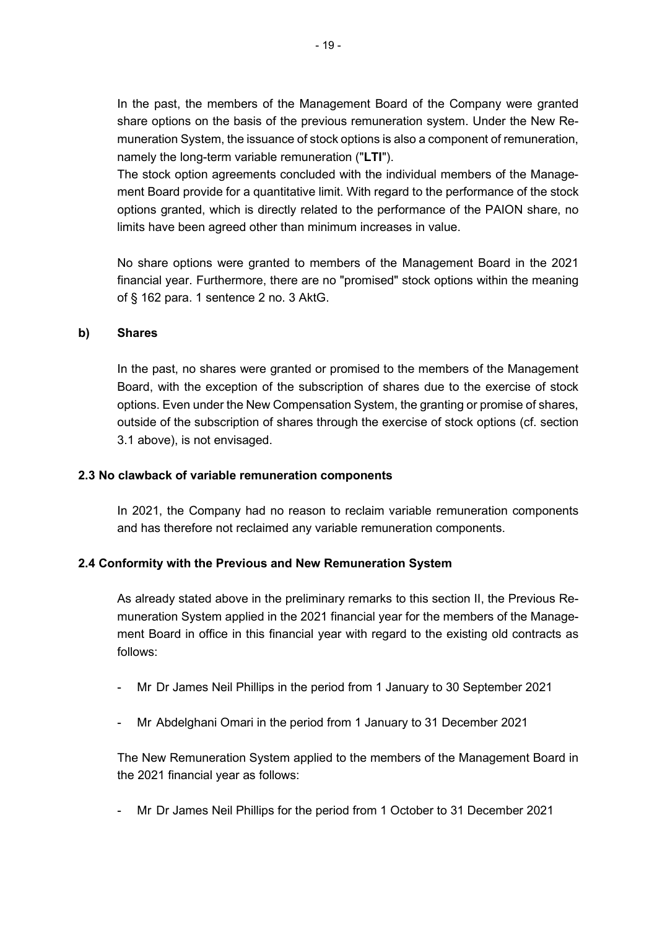In the past, the members of the Management Board of the Company were granted share options on the basis of the previous remuneration system. Under the New Remuneration System, the issuance of stock options is also a component of remuneration, namely the long-term variable remuneration ("**LTI**").

The stock option agreements concluded with the individual members of the Management Board provide for a quantitative limit. With regard to the performance of the stock options granted, which is directly related to the performance of the PAION share, no limits have been agreed other than minimum increases in value.

No share options were granted to members of the Management Board in the 2021 financial year. Furthermore, there are no "promised" stock options within the meaning of § 162 para. 1 sentence 2 no. 3 AktG.

#### **b) Shares**

In the past, no shares were granted or promised to the members of the Management Board, with the exception of the subscription of shares due to the exercise of stock options. Even under the New Compensation System, the granting or promise of shares, outside of the subscription of shares through the exercise of stock options (cf. section 3.1 above), is not envisaged.

### **2.3 No clawback of variable remuneration components**

In 2021, the Company had no reason to reclaim variable remuneration components and has therefore not reclaimed any variable remuneration components.

### **2.4 Conformity with the Previous and New Remuneration System**

As already stated above in the preliminary remarks to this section II, the Previous Remuneration System applied in the 2021 financial year for the members of the Management Board in office in this financial year with regard to the existing old contracts as follows:

- Mr Dr James Neil Phillips in the period from 1 January to 30 September 2021
- Mr Abdelghani Omari in the period from 1 January to 31 December 2021

The New Remuneration System applied to the members of the Management Board in the 2021 financial year as follows:

- Mr Dr James Neil Phillips for the period from 1 October to 31 December 2021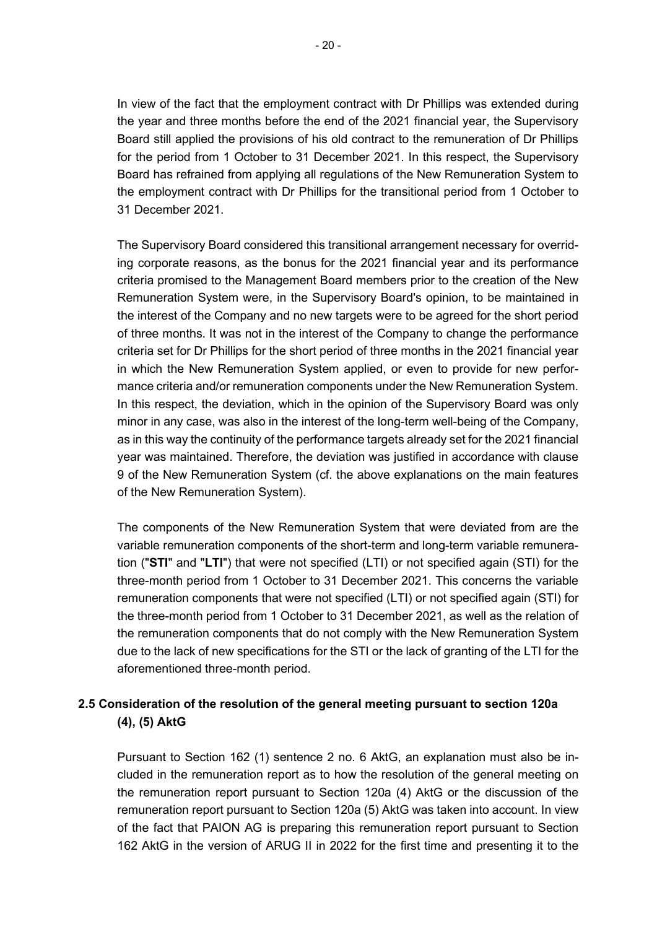In view of the fact that the employment contract with Dr Phillips was extended during the year and three months before the end of the 2021 financial year, the Supervisory Board still applied the provisions of his old contract to the remuneration of Dr Phillips for the period from 1 October to 31 December 2021. In this respect, the Supervisory Board has refrained from applying all regulations of the New Remuneration System to the employment contract with Dr Phillips for the transitional period from 1 October to 31 December 2021.

The Supervisory Board considered this transitional arrangement necessary for overriding corporate reasons, as the bonus for the 2021 financial year and its performance criteria promised to the Management Board members prior to the creation of the New Remuneration System were, in the Supervisory Board's opinion, to be maintained in the interest of the Company and no new targets were to be agreed for the short period of three months. It was not in the interest of the Company to change the performance criteria set for Dr Phillips for the short period of three months in the 2021 financial year in which the New Remuneration System applied, or even to provide for new performance criteria and/or remuneration components under the New Remuneration System. In this respect, the deviation, which in the opinion of the Supervisory Board was only minor in any case, was also in the interest of the long-term well-being of the Company, as in this way the continuity of the performance targets already set for the 2021 financial year was maintained. Therefore, the deviation was justified in accordance with clause 9 of the New Remuneration System (cf. the above explanations on the main features of the New Remuneration System).

The components of the New Remuneration System that were deviated from are the variable remuneration components of the short-term and long-term variable remuneration ("**STI**" and "**LTI**") that were not specified (LTI) or not specified again (STI) for the three-month period from 1 October to 31 December 2021. This concerns the variable remuneration components that were not specified (LTI) or not specified again (STI) for the three-month period from 1 October to 31 December 2021, as well as the relation of the remuneration components that do not comply with the New Remuneration System due to the lack of new specifications for the STI or the lack of granting of the LTI for the aforementioned three-month period.

# **2.5 Consideration of the resolution of the general meeting pursuant to section 120a (4), (5) AktG**

Pursuant to Section 162 (1) sentence 2 no. 6 AktG, an explanation must also be included in the remuneration report as to how the resolution of the general meeting on the remuneration report pursuant to Section 120a (4) AktG or the discussion of the remuneration report pursuant to Section 120a (5) AktG was taken into account. In view of the fact that PAION AG is preparing this remuneration report pursuant to Section 162 AktG in the version of ARUG II in 2022 for the first time and presenting it to the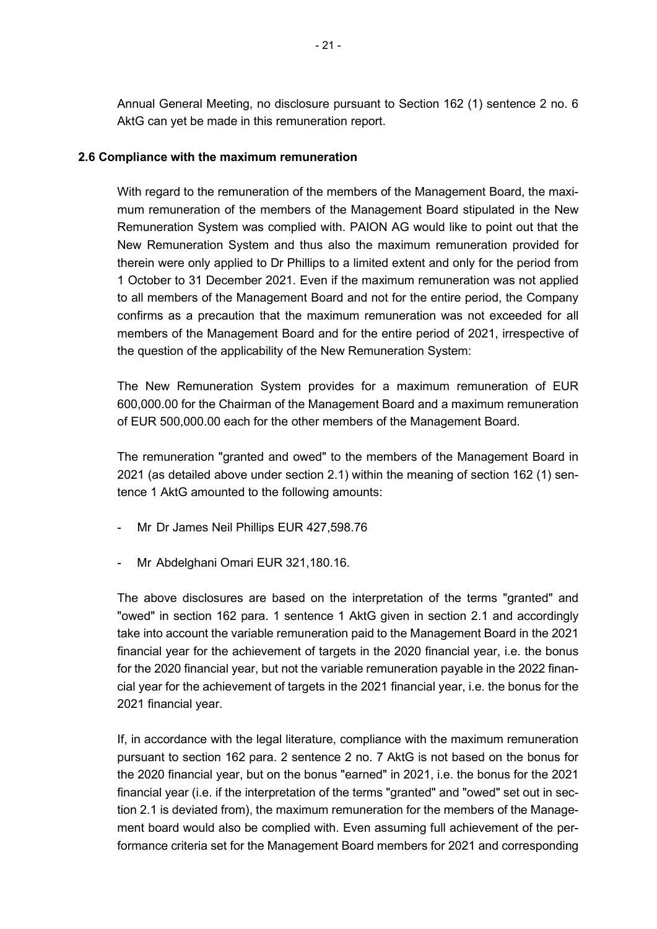Annual General Meeting, no disclosure pursuant to Section 162 (1) sentence 2 no. 6 AktG can yet be made in this remuneration report.

### **2.6 Compliance with the maximum remuneration**

With regard to the remuneration of the members of the Management Board, the maximum remuneration of the members of the Management Board stipulated in the New Remuneration System was complied with. PAION AG would like to point out that the New Remuneration System and thus also the maximum remuneration provided for therein were only applied to Dr Phillips to a limited extent and only for the period from 1 October to 31 December 2021. Even if the maximum remuneration was not applied to all members of the Management Board and not for the entire period, the Company confirms as a precaution that the maximum remuneration was not exceeded for all members of the Management Board and for the entire period of 2021, irrespective of the question of the applicability of the New Remuneration System:

The New Remuneration System provides for a maximum remuneration of EUR 600,000.00 for the Chairman of the Management Board and a maximum remuneration of EUR 500,000.00 each for the other members of the Management Board.

The remuneration "granted and owed" to the members of the Management Board in 2021 (as detailed above under section 2.1) within the meaning of section 162 (1) sentence 1 AktG amounted to the following amounts:

- Mr Dr James Neil Phillips EUR 427,598.76
- Mr Abdelghani Omari EUR 321,180.16.

The above disclosures are based on the interpretation of the terms "granted" and "owed" in section 162 para. 1 sentence 1 AktG given in section 2.1 and accordingly take into account the variable remuneration paid to the Management Board in the 2021 financial year for the achievement of targets in the 2020 financial year, i.e. the bonus for the 2020 financial year, but not the variable remuneration payable in the 2022 financial year for the achievement of targets in the 2021 financial year, i.e. the bonus for the 2021 financial year.

If, in accordance with the legal literature, compliance with the maximum remuneration pursuant to section 162 para. 2 sentence 2 no. 7 AktG is not based on the bonus for the 2020 financial year, but on the bonus "earned" in 2021, i.e. the bonus for the 2021 financial year (i.e. if the interpretation of the terms "granted" and "owed" set out in section 2.1 is deviated from), the maximum remuneration for the members of the Management board would also be complied with. Even assuming full achievement of the performance criteria set for the Management Board members for 2021 and corresponding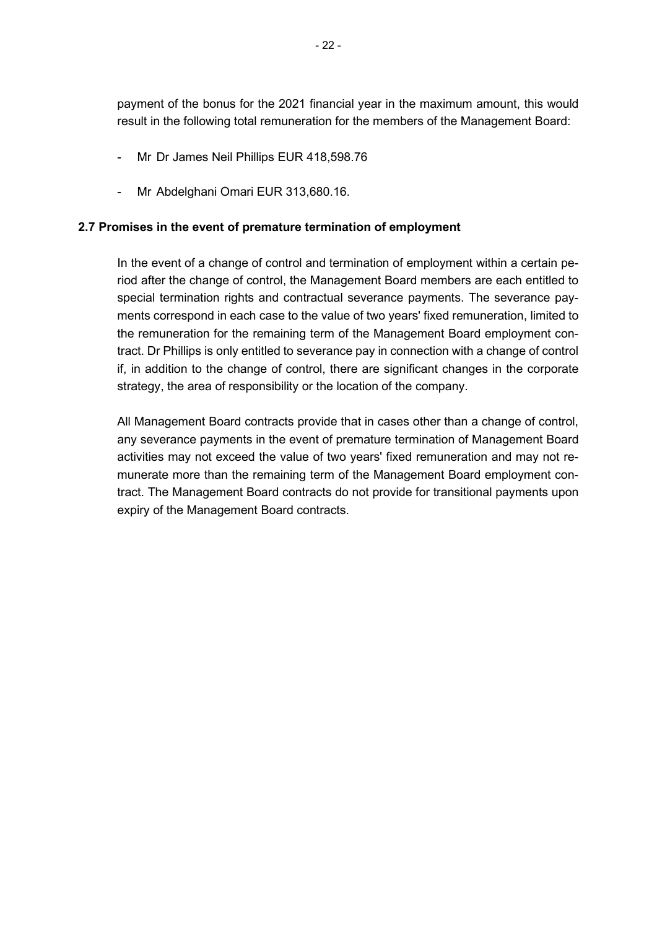payment of the bonus for the 2021 financial year in the maximum amount, this would result in the following total remuneration for the members of the Management Board:

- Mr Dr James Neil Phillips EUR 418,598.76
- Mr Abdelghani Omari EUR 313,680.16.

### **2.7 Promises in the event of premature termination of employment**

In the event of a change of control and termination of employment within a certain period after the change of control, the Management Board members are each entitled to special termination rights and contractual severance payments. The severance payments correspond in each case to the value of two years' fixed remuneration, limited to the remuneration for the remaining term of the Management Board employment contract. Dr Phillips is only entitled to severance pay in connection with a change of control if, in addition to the change of control, there are significant changes in the corporate strategy, the area of responsibility or the location of the company.

All Management Board contracts provide that in cases other than a change of control, any severance payments in the event of premature termination of Management Board activities may not exceed the value of two years' fixed remuneration and may not remunerate more than the remaining term of the Management Board employment contract. The Management Board contracts do not provide for transitional payments upon expiry of the Management Board contracts.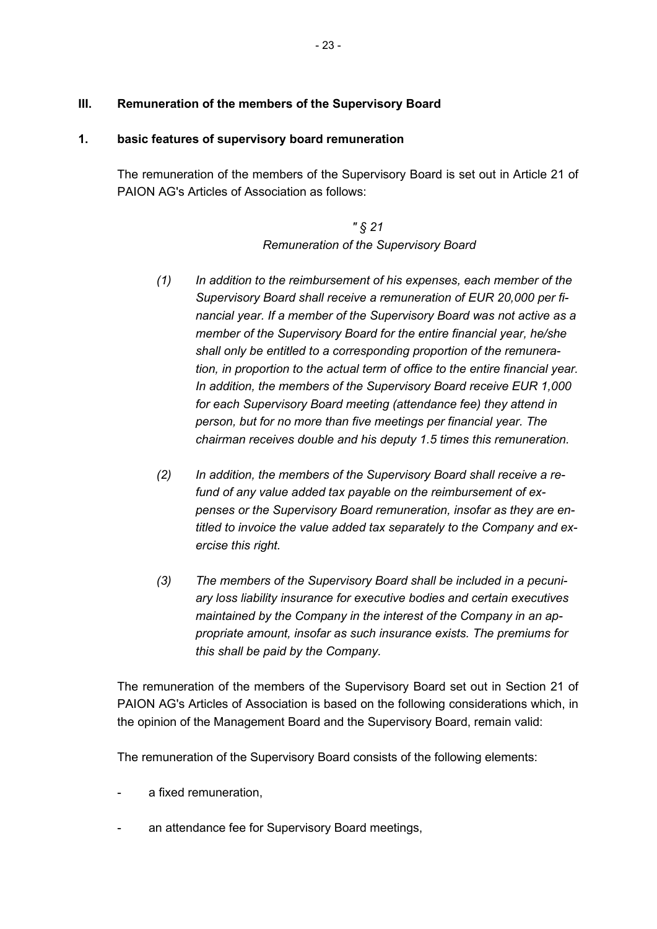# **III. Remuneration of the members of the Supervisory Board**

### **1. basic features of supervisory board remuneration**

The remuneration of the members of the Supervisory Board is set out in Article 21 of PAION AG's Articles of Association as follows:

> *" § 21 Remuneration of the Supervisory Board*

- *(1) In addition to the reimbursement of his expenses, each member of the Supervisory Board shall receive a remuneration of EUR 20,000 per financial year. If a member of the Supervisory Board was not active as a member of the Supervisory Board for the entire financial year, he/she shall only be entitled to a corresponding proportion of the remuneration, in proportion to the actual term of office to the entire financial year. In addition, the members of the Supervisory Board receive EUR 1,000 for each Supervisory Board meeting (attendance fee) they attend in person, but for no more than five meetings per financial year. The chairman receives double and his deputy 1.5 times this remuneration.*
- *(2) In addition, the members of the Supervisory Board shall receive a refund of any value added tax payable on the reimbursement of expenses or the Supervisory Board remuneration, insofar as they are entitled to invoice the value added tax separately to the Company and exercise this right.*
- *(3) The members of the Supervisory Board shall be included in a pecuniary loss liability insurance for executive bodies and certain executives maintained by the Company in the interest of the Company in an appropriate amount, insofar as such insurance exists. The premiums for this shall be paid by the Company.*

The remuneration of the members of the Supervisory Board set out in Section 21 of PAION AG's Articles of Association is based on the following considerations which, in the opinion of the Management Board and the Supervisory Board, remain valid:

The remuneration of the Supervisory Board consists of the following elements:

- a fixed remuneration.
- an attendance fee for Supervisory Board meetings,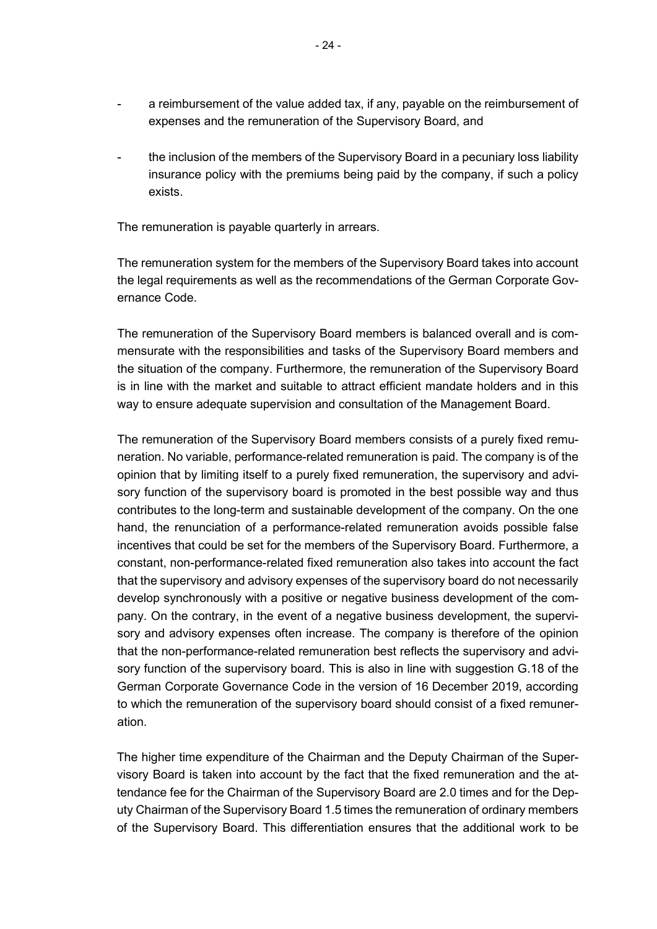- a reimbursement of the value added tax, if any, payable on the reimbursement of expenses and the remuneration of the Supervisory Board, and
- the inclusion of the members of the Supervisory Board in a pecuniary loss liability insurance policy with the premiums being paid by the company, if such a policy exists.

The remuneration is payable quarterly in arrears.

The remuneration system for the members of the Supervisory Board takes into account the legal requirements as well as the recommendations of the German Corporate Governance Code.

The remuneration of the Supervisory Board members is balanced overall and is commensurate with the responsibilities and tasks of the Supervisory Board members and the situation of the company. Furthermore, the remuneration of the Supervisory Board is in line with the market and suitable to attract efficient mandate holders and in this way to ensure adequate supervision and consultation of the Management Board.

The remuneration of the Supervisory Board members consists of a purely fixed remuneration. No variable, performance-related remuneration is paid. The company is of the opinion that by limiting itself to a purely fixed remuneration, the supervisory and advisory function of the supervisory board is promoted in the best possible way and thus contributes to the long-term and sustainable development of the company. On the one hand, the renunciation of a performance-related remuneration avoids possible false incentives that could be set for the members of the Supervisory Board. Furthermore, a constant, non-performance-related fixed remuneration also takes into account the fact that the supervisory and advisory expenses of the supervisory board do not necessarily develop synchronously with a positive or negative business development of the company. On the contrary, in the event of a negative business development, the supervisory and advisory expenses often increase. The company is therefore of the opinion that the non-performance-related remuneration best reflects the supervisory and advisory function of the supervisory board. This is also in line with suggestion G.18 of the German Corporate Governance Code in the version of 16 December 2019, according to which the remuneration of the supervisory board should consist of a fixed remuneration.

The higher time expenditure of the Chairman and the Deputy Chairman of the Supervisory Board is taken into account by the fact that the fixed remuneration and the attendance fee for the Chairman of the Supervisory Board are 2.0 times and for the Deputy Chairman of the Supervisory Board 1.5 times the remuneration of ordinary members of the Supervisory Board. This differentiation ensures that the additional work to be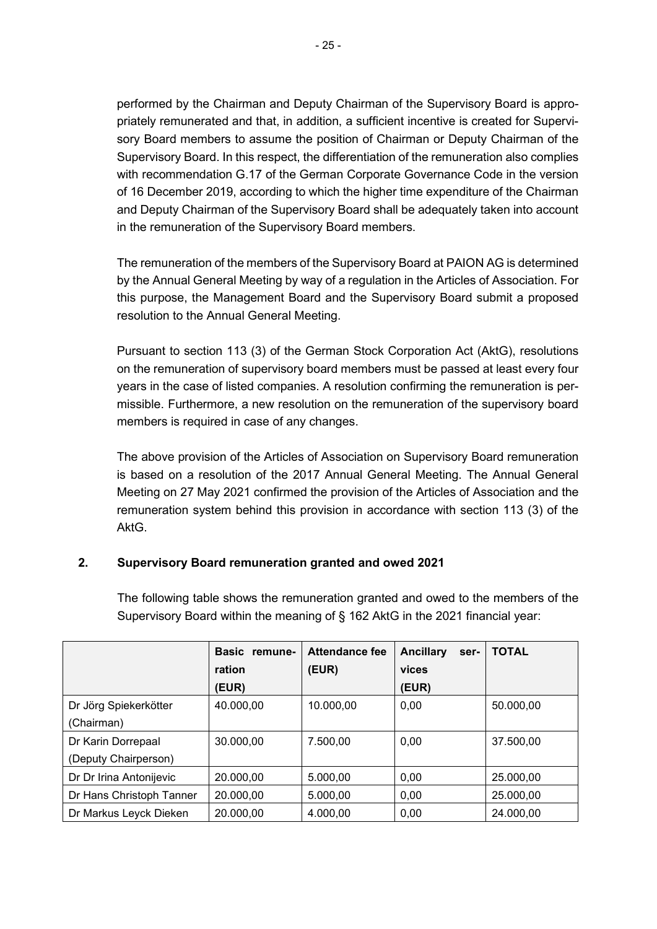performed by the Chairman and Deputy Chairman of the Supervisory Board is appropriately remunerated and that, in addition, a sufficient incentive is created for Supervisory Board members to assume the position of Chairman or Deputy Chairman of the Supervisory Board. In this respect, the differentiation of the remuneration also complies with recommendation G.17 of the German Corporate Governance Code in the version of 16 December 2019, according to which the higher time expenditure of the Chairman and Deputy Chairman of the Supervisory Board shall be adequately taken into account in the remuneration of the Supervisory Board members.

The remuneration of the members of the Supervisory Board at PAION AG is determined by the Annual General Meeting by way of a regulation in the Articles of Association. For this purpose, the Management Board and the Supervisory Board submit a proposed resolution to the Annual General Meeting.

Pursuant to section 113 (3) of the German Stock Corporation Act (AktG), resolutions on the remuneration of supervisory board members must be passed at least every four years in the case of listed companies. A resolution confirming the remuneration is permissible. Furthermore, a new resolution on the remuneration of the supervisory board members is required in case of any changes.

The above provision of the Articles of Association on Supervisory Board remuneration is based on a resolution of the 2017 Annual General Meeting. The Annual General Meeting on 27 May 2021 confirmed the provision of the Articles of Association and the remuneration system behind this provision in accordance with section 113 (3) of the AktG.

# **2. Supervisory Board remuneration granted and owed 2021**

The following table shows the remuneration granted and owed to the members of the Supervisory Board within the meaning of § 162 AktG in the 2021 financial year:

|                          | Basic remune- | <b>Attendance fee</b> | <b>Ancillary</b><br>ser- | <b>TOTAL</b> |
|--------------------------|---------------|-----------------------|--------------------------|--------------|
|                          | ration        | (EUR)                 | vices                    |              |
|                          | (EUR)         |                       | (EUR)                    |              |
| Dr Jörg Spiekerkötter    | 40.000,00     | 10.000,00             | 0,00                     | 50.000,00    |
| (Chairman)               |               |                       |                          |              |
| Dr Karin Dorrepaal       | 30.000,00     | 7.500,00              | 0,00                     | 37.500,00    |
| (Deputy Chairperson)     |               |                       |                          |              |
| Dr Dr Irina Antonijevic  | 20.000,00     | 5.000,00              | 0,00                     | 25.000,00    |
| Dr Hans Christoph Tanner | 20.000,00     | 5.000,00              | 0,00                     | 25.000,00    |
| Dr Markus Leyck Dieken   | 20.000,00     | 4.000,00              | 0,00                     | 24.000,00    |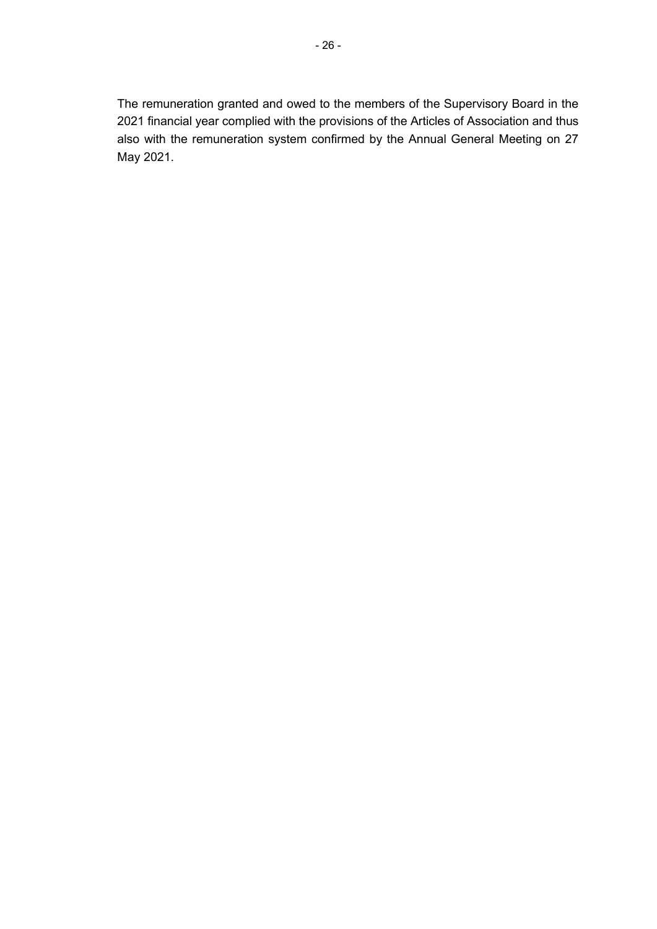The remuneration granted and owed to the members of the Supervisory Board in the 2021 financial year complied with the provisions of the Articles of Association and thus also with the remuneration system confirmed by the Annual General Meeting on 27 May 2021.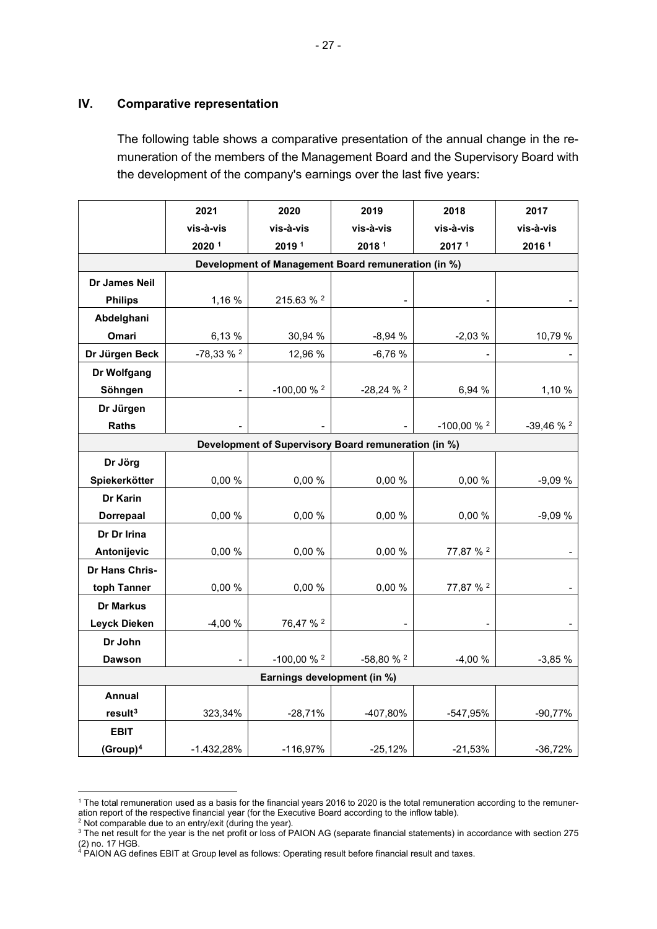### **IV. Comparative representation**

<span id="page-26-1"></span><span id="page-26-0"></span>The following table shows a comparative presentation of the annual change in the remuneration of the members of the Management Board and the Supervisory Board with the development of the company's earnings over the last five years:

|                             | 2021                  | 2020                                                 | 2019                  | 2018                 | 2017                  |  |
|-----------------------------|-----------------------|------------------------------------------------------|-----------------------|----------------------|-----------------------|--|
|                             | vis-à-vis             | vis-à-vis                                            | vis-à-vis             | vis-à-vis            | vis-à-vis             |  |
|                             | 2020 1                | 20191                                                | 2018 <sup>1</sup>     | 20171                | 2016 <sup>1</sup>     |  |
|                             |                       | Development of Management Board remuneration (in %)  |                       |                      |                       |  |
| Dr James Neil               |                       |                                                      |                       |                      |                       |  |
| <b>Philips</b>              | 1,16 %                | 215.63 % <sup>2</sup>                                |                       |                      |                       |  |
| Abdelghani                  |                       |                                                      |                       |                      |                       |  |
| Omari                       | 6,13%                 | 30,94 %                                              | $-8,94%$              | $-2,03%$             | 10,79 %               |  |
| Dr Jürgen Beck              | -78,33 % <sup>2</sup> | 12,96 %                                              | $-6,76%$              |                      |                       |  |
| Dr Wolfgang                 |                       |                                                      |                       |                      |                       |  |
| Söhngen                     |                       | $-100,00%$ $%$ $2$                                   | $-28,24%$             | 6,94 %               | 1,10 %                |  |
| Dr Jürgen                   |                       |                                                      |                       |                      |                       |  |
| <b>Raths</b>                |                       |                                                      |                       | $-100,00%$ $^{2}$    | -39,46 % <sup>2</sup> |  |
|                             |                       | Development of Supervisory Board remuneration (in %) |                       |                      |                       |  |
| Dr Jörg                     |                       |                                                      |                       |                      |                       |  |
| Spiekerkötter               | 0,00 %                | 0,00 %                                               | 0,00 %                | 0,00 %               | $-9,09%$              |  |
| Dr Karin                    |                       |                                                      |                       |                      |                       |  |
| Dorrepaal                   | 0,00 %                | 0,00 %                                               | 0,00 %                | 0,00 %               | $-9,09%$              |  |
| Dr Dr Irina                 |                       |                                                      |                       |                      |                       |  |
| Antonijevic                 | 0,00 %                | 0,00 %                                               | 0,00 %                | 77,87 % <sup>2</sup> |                       |  |
| Dr Hans Chris-              |                       |                                                      |                       |                      |                       |  |
| toph Tanner                 | 0,00 %                | 0,00 %                                               | 0,00 %                | 77,87 % <sup>2</sup> |                       |  |
| <b>Dr Markus</b>            |                       |                                                      |                       |                      |                       |  |
| <b>Leyck Dieken</b>         | $-4,00%$              | 76,47 % <sup>2</sup>                                 |                       |                      |                       |  |
| Dr John                     |                       |                                                      |                       |                      |                       |  |
| <b>Dawson</b>               |                       | $-100,00 \%$ <sup>2</sup>                            | -58,80 % <sup>2</sup> | $-4,00%$             | $-3,85%$              |  |
| Earnings development (in %) |                       |                                                      |                       |                      |                       |  |
| Annual                      |                       |                                                      |                       |                      |                       |  |
| result <sup>3</sup>         | 323,34%               | $-28,71%$                                            | -407,80%              | -547,95%             | $-90,77%$             |  |
| <b>EBIT</b>                 |                       |                                                      |                       |                      |                       |  |
| $(Group)^4$                 | $-1.432,28%$          | $-116,97%$                                           | $-25,12%$             | $-21,53%$            | $-36,72%$             |  |

<span id="page-26-2"></span><sup>&</sup>lt;sup>1</sup> The total remuneration used as a basis for the financial years 2016 to 2020 is the total remuneration according to the remuneration report of the respective financial year (for the Executive Board according to the inflow table).

 $2$  Not comparable due to an entry/exit (during the year).

<span id="page-26-4"></span><span id="page-26-3"></span> $^3$  The net result for the year is the net profit or loss of PAION AG (separate financial statements) in accordance with section 275  $\,$ (2) no. 17 HGB.

<span id="page-26-5"></span><sup>4</sup> PAION AG defines EBIT at Group level as follows: Operating result before financial result and taxes.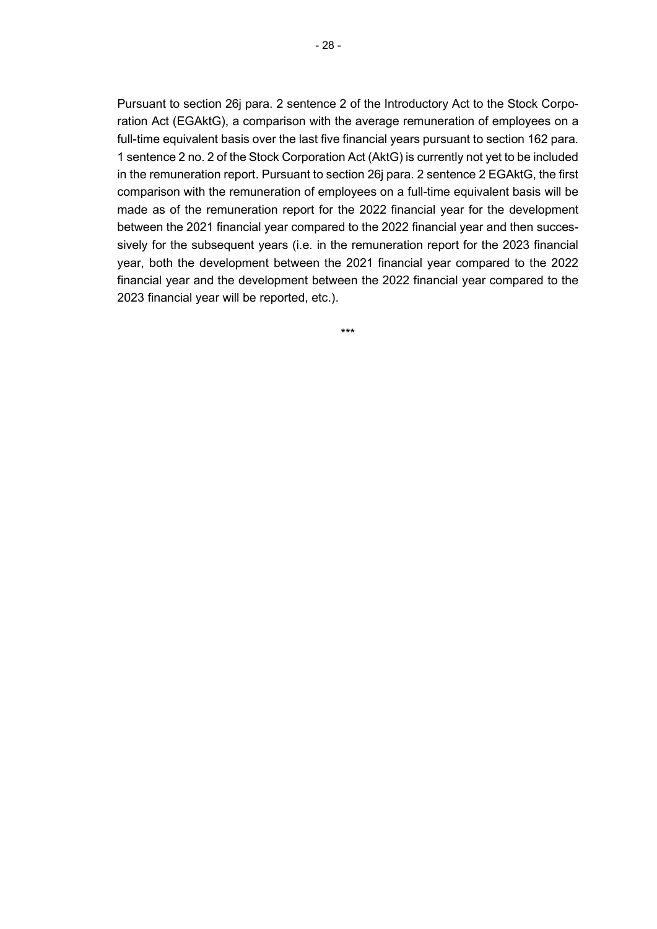Pursuant to section 26j para. 2 sentence 2 of the Introductory Act to the Stock Corporation Act (EGAktG), a comparison with the average remuneration of employees on a full-time equivalent basis over the last five financial years pursuant to section 162 para. 1 sentence 2 no. 2 of the Stock Corporation Act (AktG) is currently not yet to be included in the remuneration report. Pursuant to section 26j para. 2 sentence 2 EGAktG, the first comparison with the remuneration of employees on a full-time equivalent basis will be made as of the remuneration report for the 2022 financial year for the development between the 2021 financial year compared to the 2022 financial year and then successively for the subsequent years (i.e. in the remuneration report for the 2023 financial year, both the development between the 2021 financial year compared to the 2022 financial year and the development between the 2022 financial year compared to the 2023 financial year will be reported, etc.).

\*\*\*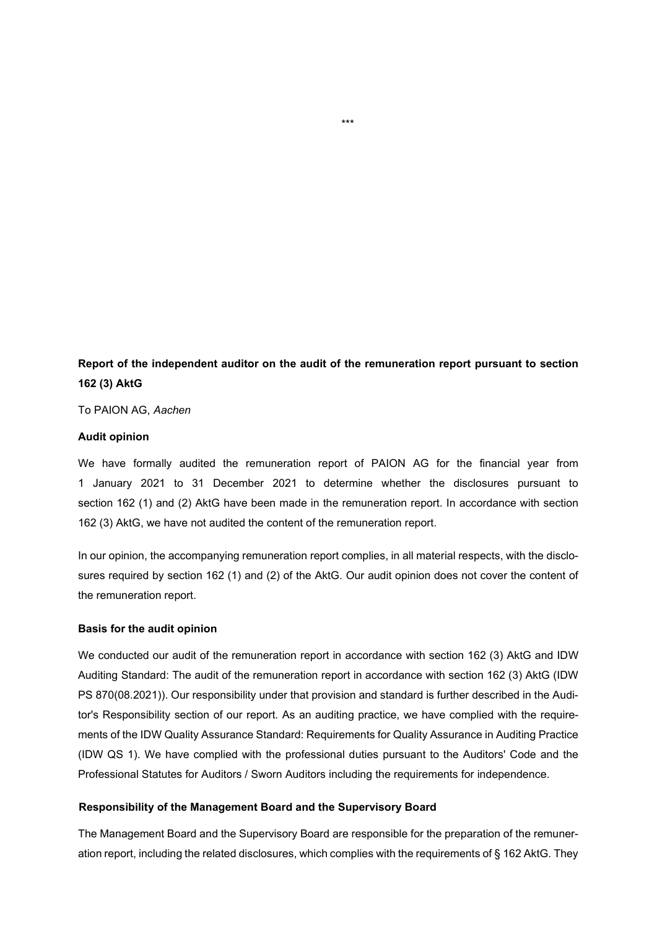**Report of the independent auditor on the audit of the remuneration report pursuant to section 162 (3) AktG** 

To PAION AG, *Aachen* 

#### **Audit opinion**

We have formally audited the remuneration report of PAION AG for the financial year from 1 January 2021 to 31 December 2021 to determine whether the disclosures pursuant to section 162 (1) and (2) AktG have been made in the remuneration report. In accordance with section 162 (3) AktG, we have not audited the content of the remuneration report.

In our opinion, the accompanying remuneration report complies, in all material respects, with the disclosures required by section 162 (1) and (2) of the AktG. Our audit opinion does not cover the content of the remuneration report.

#### **Basis for the audit opinion**

We conducted our audit of the remuneration report in accordance with section 162 (3) AktG and IDW Auditing Standard: The audit of the remuneration report in accordance with section 162 (3) AktG (IDW PS 870(08.2021)). Our responsibility under that provision and standard is further described in the Auditor's Responsibility section of our report. As an auditing practice, we have complied with the requirements of the IDW Quality Assurance Standard: Requirements for Quality Assurance in Auditing Practice (IDW QS 1). We have complied with the professional duties pursuant to the Auditors' Code and the Professional Statutes for Auditors / Sworn Auditors including the requirements for independence.

#### **Responsibility of the Management Board and the Supervisory Board**

The Management Board and the Supervisory Board are responsible for the preparation of the remuneration report, including the related disclosures, which complies with the requirements of § 162 AktG. They

\*\*\*